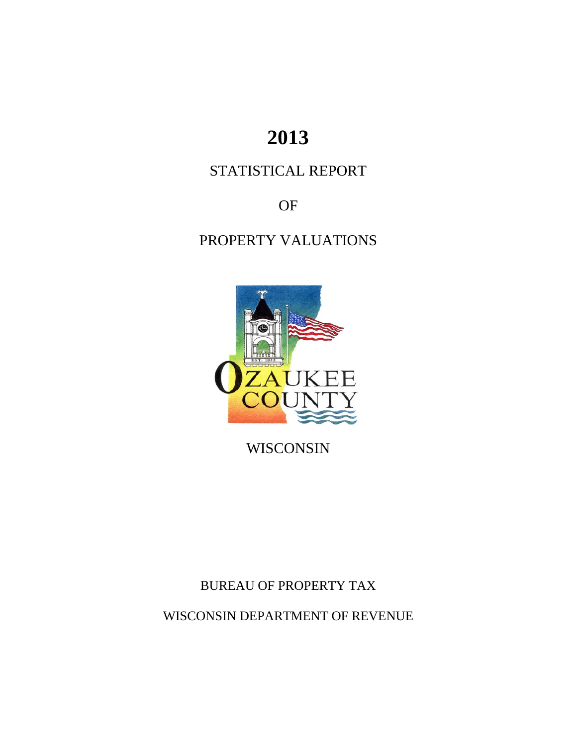# **2013**

# STATISTICAL REPORT

OF

# PROPERTY VALUATIONS



WISCONSIN

BUREAU OF PROPERTY TAX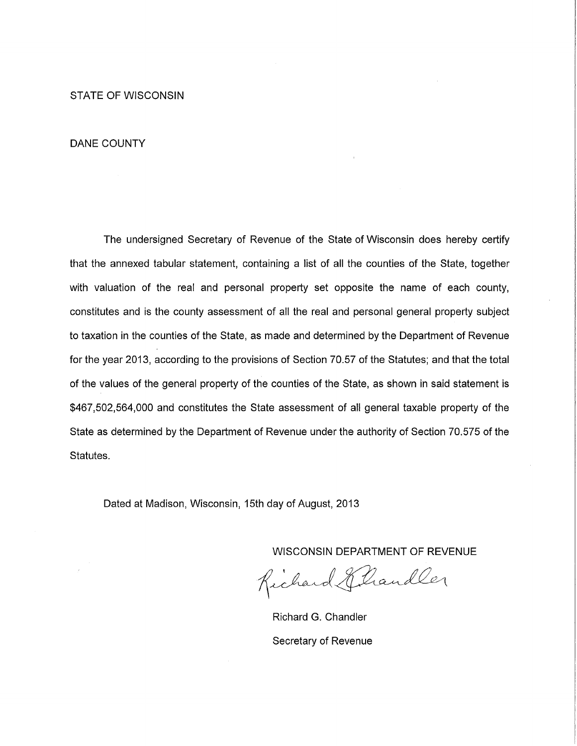**STATE OF WISCONSIN** 

#### **DANE COUNTY**

The undersigned Secretary of Revenue of the State of Wisconsin does hereby certify that the annexed tabular statement, containing a list of all the counties of the State, together with valuation of the real and personal property set opposite the name of each county, constitutes and is the county assessment of all the real and personal general property subject to taxation in the counties of the State, as made and determined by the Department of Revenue for the year 2013, according to the provisions of Section 70.57 of the Statutes; and that the total of the values of the general property of the counties of the State, as shown in said statement is \$467,502,564,000 and constitutes the State assessment of all general taxable property of the State as determined by the Department of Revenue under the authority of Section 70.575 of the Statutes.

Dated at Madison, Wisconsin, 15th day of August, 2013

Richard Eliandler

Richard G. Chandler Secretary of Revenue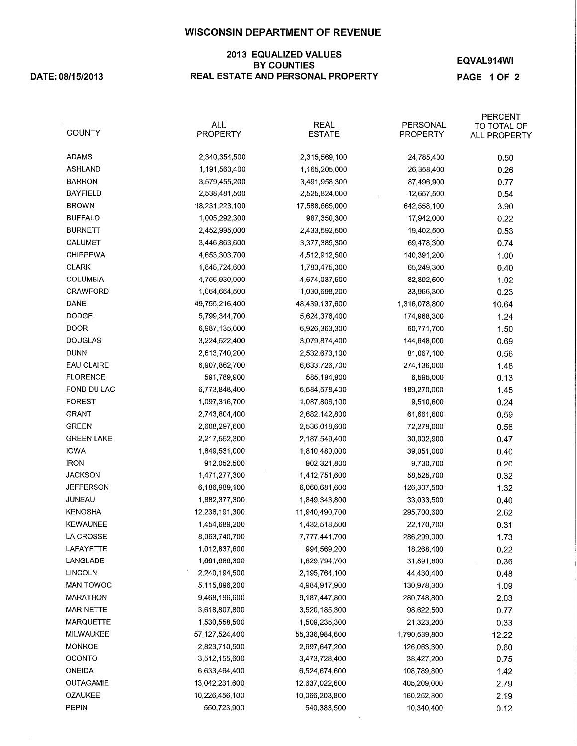#### 2013 EQUALIZED VALUES **BY COUNTIES** REAL ESTATE AND PERSONAL PROPERTY

DATE: 08/15/2013

EQVAL914WI

PAGE 1 OF 2

| <b>COUNTY</b>     | <b>ALL</b><br>PROPERTY | <b>REAL</b><br><b>ESTATE</b> | PERSONAL<br><b>PROPERTY</b> | PERCENT<br>TO TOTAL OF<br>ALL PROPERTY |
|-------------------|------------------------|------------------------------|-----------------------------|----------------------------------------|
| <b>ADAMS</b>      | 2,340,354,500          | 2,315,569,100                | 24,785,400                  | 0.50                                   |
| <b>ASHLAND</b>    | 1,191,563,400          | 1,165,205,000                | 26,358,400                  | 0.26                                   |
| <b>BARRON</b>     | 3,579,455,200          | 3,491,958,300                | 87,496,900                  | 0.77                                   |
| <b>BAYFIELD</b>   | 2,538,481,500          | 2,525,824,000                | 12,657,500                  | 0.54                                   |
| <b>BROWN</b>      | 18,231,223,100         | 17,588,665,000               | 642,558,100                 | 3.90                                   |
| <b>BUFFALO</b>    | 1,005,292,300          | 987,350,300                  | 17,942,000                  | 0.22                                   |
| <b>BURNETT</b>    | 2,452,995,000          | 2,433,592,500                | 19,402,500                  | 0.53                                   |
| <b>CALUMET</b>    | 3,446,863,600          | 3,377,385,300                | 69,478,300                  | 0.74                                   |
| <b>CHIPPEWA</b>   | 4,653,303,700          | 4,512,912,500                | 140,391,200                 | 1.00                                   |
| <b>CLARK</b>      | 1,848,724,600          | 1,783,475,300                | 65,249,300                  | 0.40                                   |
| <b>COLUMBIA</b>   | 4,756,930,000          | 4,674,037,500                | 82,892,500                  | 1.02                                   |
| CRAWFORD          | 1,064,664,500          | 1,030,698,200                | 33,966,300                  | 0.23                                   |
| <b>DANE</b>       | 49,755,216,400         | 48,439,137,600               | 1,316,078,800               | 10.64                                  |
| <b>DODGE</b>      | 5,799,344,700          | 5,624,376,400                | 174,968,300                 | 1.24                                   |
| <b>DOOR</b>       | 6,987,135,000          | 6,926,363,300                | 60,771,700                  | 1.50                                   |
| <b>DOUGLAS</b>    | 3,224,522,400          | 3,079,874,400                | 144,648,000                 | 0.69                                   |
| <b>DUNN</b>       | 2,613,740,200          | 2,532,673,100                | 81,067,100                  | 0.56                                   |
| <b>EAU CLAIRE</b> | 6,907,862,700          | 6,633,726,700                | 274,136,000                 | 1.48                                   |
| <b>FLORENCE</b>   | 591,789,900            | 585,194,900                  | 6,595,000                   | 0.13                                   |
| FOND DU LAC       | 6,773,848,400          | 6,584,578,400                | 189,270,000                 | 1.45                                   |
| <b>FOREST</b>     | 1,097,316,700          | 1,087,806,100                | 9,510,600                   | 0.24                                   |
| <b>GRANT</b>      | 2,743,804,400          | 2,682,142,800                | 61,661,600                  | 0.59                                   |
| <b>GREEN</b>      | 2,608,297,600          | 2,536,018,600                | 72,279,000                  | 0.56                                   |
| <b>GREEN LAKE</b> | 2,217,552,300          | 2,187,549,400                | 30,002,900                  | 0.47                                   |
| <b>IOWA</b>       | 1,849,531,000          | 1,810,480,000                | 39,051,000                  | 0.40                                   |
| <b>IRON</b>       | 912,052,500            | 902,321,800                  | 9,730,700                   | 0.20                                   |
| <b>JACKSON</b>    | 1,471,277,300          | 1,412,751,600                | 58,525,700                  | 0.32                                   |
| <b>JEFFERSON</b>  | 6,186,989,100          | 6,060,681,600                | 126,307,500                 | 1.32                                   |
| JUNEAU            | 1,882,377,300          | 1,849,343,800                | 33,033,500                  | 0.40                                   |
| <b>KENOSHA</b>    | 12,236,191,300         | 11,940,490,700               | 295,700,600                 | 2.62                                   |
| <b>KEWAUNEE</b>   | 1,454,689,200          | 1,432,518,500                | 22,170,700                  | 0.31                                   |
| LA CROSSE         | 8,063,740,700          | 7,777,441,700                | 286,299,000                 | 1.73                                   |
| LAFAYETTE         | 1,012,837,600          | 994,569,200                  | 18,268,400                  | 0.22                                   |
| LANGLADE          | 1,661,686,300          | 1,629,794,700                | 31,891,600                  | 0.36                                   |
| LINCOLN           | 2,240,194,500          | 2,195,764,100                | 44,430,400                  | 0.48                                   |
| MANITOWOC         | 5,115,896,200          | 4,984,917,900                | 130,978,300                 | 1.09                                   |
| <b>MARATHON</b>   | 9,468,196,600          | 9,187,447,800                | 280,748,800                 | 2.03                                   |
| <b>MARINETTE</b>  | 3,618,807,800          | 3,520,185,300                | 98,622,500                  | 0.77                                   |
| <b>MARQUETTE</b>  | 1,530,558,500          | 1,509,235,300                | 21,323,200                  | 0.33                                   |
| MILWAUKEE         | 57, 127, 524, 400      | 55,336,984,600               | 1,790,539,800               | 12.22                                  |
| <b>MONROE</b>     | 2,823,710,500          | 2,697,647,200                | 126,063,300                 | 0.60                                   |
| <b>OCONTO</b>     | 3,512,155,600          | 3,473,728,400                | 38,427,200                  | 0.75                                   |
| <b>ONEIDA</b>     | 6,633,464,400          | 6,524,674,600                | 108,789,800                 | 1.42                                   |
| <b>OUTAGAMIE</b>  | 13,042,231,600         | 12,637,022,600               | 405,209,000                 | 2.79                                   |
| OZAUKEE           | 10,226,456,100         | 10,066,203,800               | 160,252,300                 | 2.19                                   |
| <b>PEPIN</b>      | 550,723,900            | 540,383,500                  | 10,340,400                  | 0.12                                   |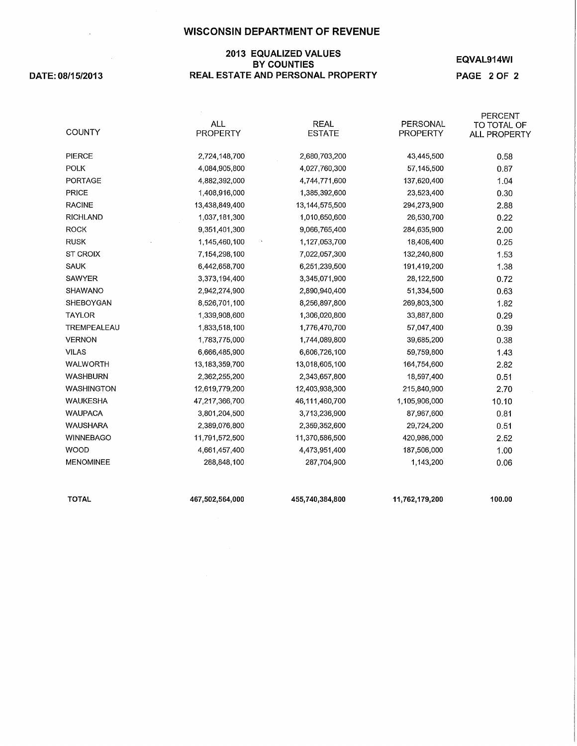#### 2013 EQUALIZED VALUES BY COUNTIES REAL ESTATE AND PERSONAL PROPERTY

DATE: 08/15/2013

 $\sim 100$  km s  $^{-1}$ 

# EQVAL914WI

PAGE 2 OF 2

| <b>TOTAL</b>                   | 467,502,564,000                  | 455,740,384,800                  | 11,762,179,200               | 100.00              |
|--------------------------------|----------------------------------|----------------------------------|------------------------------|---------------------|
|                                |                                  |                                  |                              |                     |
| <b>MENOMINEE</b>               | 288,848,100                      | 287,704,900                      | 1,143,200                    | 0.06                |
| <b>WOOD</b>                    | 4,661,457,400                    | 4,473,951,400                    | 187,506,000                  | 2.52<br>1.00        |
| <b>WINNEBAGO</b>               | 2,389,076,800<br>11,791,572,500  | 2,359,352,600<br>11,370,586,500  | 29,724,200<br>420,986,000    | 0.51                |
| <b>WAUSHARA</b>                |                                  |                                  |                              | 0.81                |
| <b>WAUPACA</b>                 | 3,801,204,500                    | 3,713,236,900                    | 87,967,600                   | 10.10               |
| <b>WAUKESHA</b>                | 12,619,779,200<br>47,217,366,700 | 12,403,938,300<br>46,111,460,700 | 215,840,900<br>1,105,906,000 | 2.70                |
| <b>WASHINGTON</b>              | 2,362,255,200                    | 2,343,657,800                    | 18,597,400                   | 0.51                |
| <b>WASHBURN</b>                |                                  |                                  |                              | 2.82                |
| <b>WALWORTH</b>                | 6,666,485,900<br>13,183,359,700  | 13,018,605,100                   | 59,759,800<br>164,754,600    | 1.43                |
| <b>VILAS</b>                   |                                  | 6,606,726,100                    |                              |                     |
| <b>VERNON</b>                  | 1,783,775,000                    | 1,744,089,800                    | 39,685,200                   | 0.38                |
| TREMPEALEAU                    | 1,833,518,100                    | 1,776,470,700                    | 57,047,400                   | 0.39                |
| <b>TAYLOR</b>                  | 1,339,908,600                    | 1,306,020,800                    | 33,887,800                   | 0.29                |
| SHEBOYGAN                      | 8,526,701,100                    | 8,256,897,800                    | 269,803,300                  | 1.82                |
| SHAWANO                        | 2,942,274,900                    | 2,890,940,400                    | 51,334,500                   | 0.63                |
| <b>SAWYER</b>                  | 3,373,194,400                    | 3,345,071,900                    | 28,122,500                   | 0.72                |
| <b>SAUK</b>                    | 6,442,658,700                    | 6,251,239,500                    | 191,419,200                  | 1.53<br>1.38        |
| <b>ST CROIX</b>                | 1,145,460,100<br>7,154,298,100   | 1,127,053,700<br>7,022,057,300   | 18,406,400<br>132,240,800    | 0.25                |
| <b>RUSK</b>                    | 9,351,401,300                    | 9,066,765,400                    | 284,635,900                  | 2.00                |
| <b>RICHLAND</b><br><b>ROCK</b> | 1,037,181,300                    | 1,010,650,600                    | 26,530,700                   | 0.22                |
| <b>RACINE</b>                  | 13,438,849,400                   | 13, 144, 575, 500                | 294,273,900                  | 2.88                |
| <b>PRICE</b>                   | 1,408,916,000                    | 1,385,392,600                    | 23,523,400                   | 0.30                |
| PORTAGE                        | 4,882,392,000                    | 4,744,771,600                    | 137,620,400                  | 1.04                |
| <b>POLK</b>                    | 4,084,905,800                    | 4,027,760,300                    | 57,145,500                   | 0.87                |
| PIERCE                         | 2,724,148,700                    | 2,680,703,200                    | 43,445,500                   | 0.58                |
|                                |                                  |                                  |                              |                     |
| <b>COUNTY</b>                  | <b>PROPERTY</b>                  | <b>ESTATE</b>                    | <b>PROPERTY</b>              | <b>ALL PROPERTY</b> |
|                                | <b>ALL</b>                       | <b>REAL</b>                      | PERSONAL                     | TO TOTAL OF         |
|                                |                                  |                                  |                              | <b>PERCENT</b>      |

467,502,564,000

455,740,384,800

11,762,179,200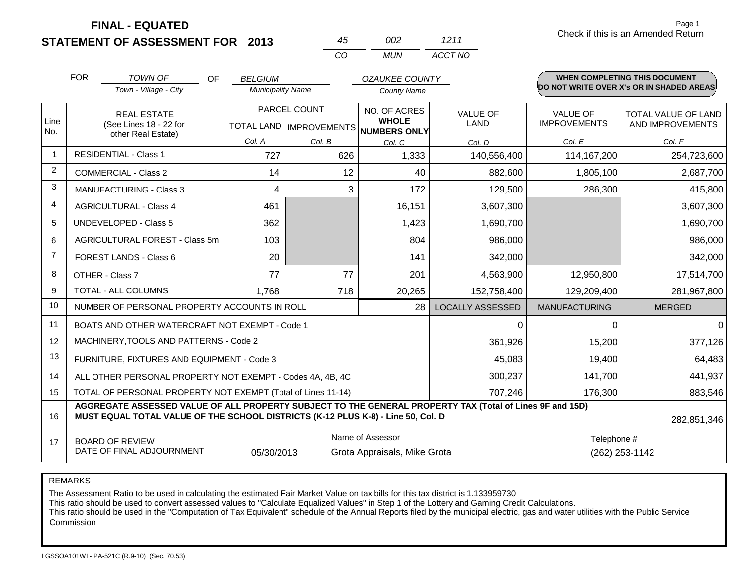**STATEMENT OF ASSESSMENT FOR 2013**

|       | פחח   | 1211    |
|-------|-------|---------|
| 7 ° ∩ | MI IN | ACCT NO |

|                | <b>FOR</b>                                                                                                            | <b>TOWN OF</b><br>OF                                                                                                                                                                         | <b>BELGIUM</b>           |                                           | <b>OZAUKEE COUNTY</b>                        |                         |                                        | WHEN COMPLETING THIS DOCUMENT            |
|----------------|-----------------------------------------------------------------------------------------------------------------------|----------------------------------------------------------------------------------------------------------------------------------------------------------------------------------------------|--------------------------|-------------------------------------------|----------------------------------------------|-------------------------|----------------------------------------|------------------------------------------|
|                |                                                                                                                       | Town - Village - City                                                                                                                                                                        | <b>Municipality Name</b> |                                           | <b>County Name</b>                           |                         |                                        | DO NOT WRITE OVER X's OR IN SHADED AREAS |
| Line           |                                                                                                                       | <b>REAL ESTATE</b><br>(See Lines 18 - 22 for                                                                                                                                                 |                          | PARCEL COUNT<br>TOTAL LAND   IMPROVEMENTS | NO. OF ACRES<br><b>WHOLE</b><br>NUMBERS ONLY | VALUE OF<br><b>LAND</b> | <b>VALUE OF</b><br><b>IMPROVEMENTS</b> | TOTAL VALUE OF LAND<br>AND IMPROVEMENTS  |
| No.            |                                                                                                                       | other Real Estate)                                                                                                                                                                           | Col. A                   | Col. B                                    | Col. C                                       | Col. D                  | Col. E                                 | Col. F                                   |
|                |                                                                                                                       | <b>RESIDENTIAL - Class 1</b>                                                                                                                                                                 | 727                      | 626                                       | 1,333                                        | 140,556,400             | 114, 167, 200                          | 254,723,600                              |
| 2              |                                                                                                                       | <b>COMMERCIAL - Class 2</b>                                                                                                                                                                  | 14                       | 12                                        | 40                                           | 882,600                 | 1,805,100                              | 2,687,700                                |
| 3              |                                                                                                                       | <b>MANUFACTURING - Class 3</b>                                                                                                                                                               | 4                        | 3                                         | 172                                          | 129,500                 | 286,300                                | 415,800                                  |
| 4              |                                                                                                                       | <b>AGRICULTURAL - Class 4</b>                                                                                                                                                                | 461                      |                                           | 16,151                                       | 3,607,300               |                                        | 3,607,300                                |
| 5              |                                                                                                                       | <b>UNDEVELOPED - Class 5</b>                                                                                                                                                                 | 362                      |                                           | 1,423                                        | 1,690,700               |                                        | 1,690,700                                |
| 6              |                                                                                                                       | AGRICULTURAL FOREST - Class 5m                                                                                                                                                               | 103                      |                                           | 804                                          | 986,000                 |                                        | 986,000                                  |
| $\overline{7}$ |                                                                                                                       | FOREST LANDS - Class 6                                                                                                                                                                       | 20                       |                                           | 141                                          | 342,000                 |                                        | 342,000                                  |
| 8              |                                                                                                                       | OTHER - Class 7                                                                                                                                                                              | 77                       | 77                                        | 201                                          | 4,563,900               | 12,950,800                             | 17,514,700                               |
| 9              |                                                                                                                       | TOTAL - ALL COLUMNS                                                                                                                                                                          | 1,768                    | 718                                       | 20,265                                       | 152,758,400             | 129,209,400                            | 281,967,800                              |
| 10             |                                                                                                                       | NUMBER OF PERSONAL PROPERTY ACCOUNTS IN ROLL                                                                                                                                                 |                          |                                           | 28                                           | <b>LOCALLY ASSESSED</b> | <b>MANUFACTURING</b>                   | <b>MERGED</b>                            |
| 11             |                                                                                                                       | BOATS AND OTHER WATERCRAFT NOT EXEMPT - Code 1                                                                                                                                               |                          |                                           |                                              | 0                       | 0                                      | $\Omega$                                 |
| 12             |                                                                                                                       | MACHINERY, TOOLS AND PATTERNS - Code 2                                                                                                                                                       |                          |                                           |                                              | 361,926                 | 15,200                                 | 377,126                                  |
| 13             | FURNITURE, FIXTURES AND EQUIPMENT - Code 3                                                                            |                                                                                                                                                                                              |                          |                                           |                                              | 45,083                  | 19,400                                 | 64,483                                   |
| 14             | ALL OTHER PERSONAL PROPERTY NOT EXEMPT - Codes 4A, 4B, 4C                                                             |                                                                                                                                                                                              |                          |                                           |                                              | 300,237                 | 141,700                                | 441,937                                  |
| 15             | TOTAL OF PERSONAL PROPERTY NOT EXEMPT (Total of Lines 11-14)                                                          |                                                                                                                                                                                              |                          |                                           |                                              | 707,246                 | 176,300                                | 883,546                                  |
| 16             |                                                                                                                       | AGGREGATE ASSESSED VALUE OF ALL PROPERTY SUBJECT TO THE GENERAL PROPERTY TAX (Total of Lines 9F and 15D)<br>MUST EQUAL TOTAL VALUE OF THE SCHOOL DISTRICTS (K-12 PLUS K-8) - Line 50, Col. D |                          |                                           |                                              |                         |                                        | 282,851,346                              |
| 17             | Name of Assessor<br><b>BOARD OF REVIEW</b><br>DATE OF FINAL ADJOURNMENT<br>05/30/2013<br>Grota Appraisals, Mike Grota |                                                                                                                                                                                              |                          |                                           |                                              |                         | Telephone #                            | (262) 253-1142                           |

REMARKS

The Assessment Ratio to be used in calculating the estimated Fair Market Value on tax bills for this tax district is 1.133959730

This ratio should be used to convert assessed values to "Calculate Equalized Values" in Step 1 of the Lottery and Gaming Credit Calculations.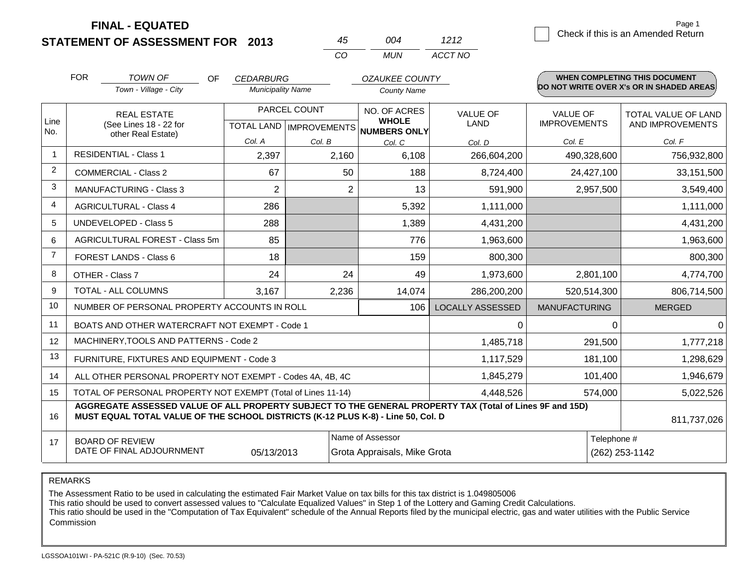**STATEMENT OF ASSESSMENT FOR 2013 FINAL - EQUATED**

|                | <b>FOR</b><br><b>TOWN OF</b><br>OF<br>Town - Village - City                                                                                                                                  | <b>CEDARBURG</b><br><b>Municipality Name</b> |                           | <b>OZAUKEE COUNTY</b>               |                         |                      | <b>WHEN COMPLETING THIS DOCUMENT</b><br>DO NOT WRITE OVER X's OR IN SHADED AREAS. |
|----------------|----------------------------------------------------------------------------------------------------------------------------------------------------------------------------------------------|----------------------------------------------|---------------------------|-------------------------------------|-------------------------|----------------------|-----------------------------------------------------------------------------------|
|                |                                                                                                                                                                                              |                                              |                           | <b>County Name</b>                  |                         |                      |                                                                                   |
|                | <b>REAL ESTATE</b>                                                                                                                                                                           |                                              | PARCEL COUNT              | NO. OF ACRES                        | <b>VALUE OF</b>         | <b>VALUE OF</b>      | <b>TOTAL VALUE OF LAND</b>                                                        |
| Line<br>No.    | (See Lines 18 - 22 for<br>other Real Estate)                                                                                                                                                 |                                              | TOTAL LAND   IMPROVEMENTS | <b>WHOLE</b><br><b>NUMBERS ONLY</b> | LAND                    | <b>IMPROVEMENTS</b>  | AND IMPROVEMENTS                                                                  |
|                |                                                                                                                                                                                              | Col. A                                       | Col. B                    | Col. C                              | Col. D                  | Col. E               | Col. F                                                                            |
| -1             | <b>RESIDENTIAL - Class 1</b>                                                                                                                                                                 | 2,397                                        | 2,160                     | 6,108                               | 266,604,200             | 490,328,600          | 756,932,800                                                                       |
| 2              | <b>COMMERCIAL - Class 2</b>                                                                                                                                                                  | 67                                           | 50                        | 188                                 | 8,724,400               | 24,427,100           | 33,151,500                                                                        |
| 3              | <b>MANUFACTURING - Class 3</b>                                                                                                                                                               | $\overline{2}$                               | $\overline{2}$            | 13                                  | 591,900                 | 2,957,500            | 3,549,400                                                                         |
| 4              | <b>AGRICULTURAL - Class 4</b>                                                                                                                                                                | 286                                          |                           | 5,392                               | 1,111,000               |                      | 1,111,000                                                                         |
| 5              | <b>UNDEVELOPED - Class 5</b>                                                                                                                                                                 | 288                                          |                           | 1,389                               | 4,431,200               |                      | 4,431,200                                                                         |
| 6              | AGRICULTURAL FOREST - Class 5m                                                                                                                                                               | 85                                           |                           | 776                                 | 1,963,600               |                      | 1,963,600                                                                         |
| $\overline{7}$ | FOREST LANDS - Class 6                                                                                                                                                                       | 18                                           |                           | 159                                 | 800,300                 |                      | 800,300                                                                           |
| 8              | OTHER - Class 7                                                                                                                                                                              | 24                                           | 24                        | 49                                  | 1,973,600               | 2,801,100            | 4,774,700                                                                         |
| 9              | <b>TOTAL - ALL COLUMNS</b>                                                                                                                                                                   | 3,167                                        | 2,236                     | 14,074                              | 286,200,200             | 520,514,300          | 806,714,500                                                                       |
| 10             | NUMBER OF PERSONAL PROPERTY ACCOUNTS IN ROLL                                                                                                                                                 |                                              |                           | 106                                 | <b>LOCALLY ASSESSED</b> | <b>MANUFACTURING</b> | <b>MERGED</b>                                                                     |
| 11             | BOATS AND OTHER WATERCRAFT NOT EXEMPT - Code 1                                                                                                                                               |                                              |                           |                                     | $\Omega$                | $\Omega$             |                                                                                   |
| 12             | MACHINERY, TOOLS AND PATTERNS - Code 2                                                                                                                                                       |                                              |                           |                                     | 1,485,718               | 291,500              | 1,777,218                                                                         |
| 13             | FURNITURE, FIXTURES AND EQUIPMENT - Code 3                                                                                                                                                   |                                              |                           |                                     | 1,117,529               | 181,100              | 1,298,629                                                                         |
| 14             | ALL OTHER PERSONAL PROPERTY NOT EXEMPT - Codes 4A, 4B, 4C                                                                                                                                    |                                              |                           | 1,845,279                           | 101,400                 | 1,946,679            |                                                                                   |
| 15             | TOTAL OF PERSONAL PROPERTY NOT EXEMPT (Total of Lines 11-14)                                                                                                                                 |                                              |                           | 4,448,526                           | 574,000                 | 5,022,526            |                                                                                   |
| 16             | AGGREGATE ASSESSED VALUE OF ALL PROPERTY SUBJECT TO THE GENERAL PROPERTY TAX (Total of Lines 9F and 15D)<br>MUST EQUAL TOTAL VALUE OF THE SCHOOL DISTRICTS (K-12 PLUS K-8) - Line 50, Col. D |                                              |                           |                                     |                         |                      | 811,737,026                                                                       |
| 17             | <b>BOARD OF REVIEW</b>                                                                                                                                                                       |                                              |                           | Name of Assessor                    |                         | Telephone #          |                                                                                   |
|                | DATE OF FINAL ADJOURNMENT                                                                                                                                                                    | 05/13/2013                                   |                           | Grota Appraisals, Mike Grota        |                         |                      | (262) 253-1142                                                                    |

*CO MUN*

*ACCT NO*

*45 004*

REMARKS

The Assessment Ratio to be used in calculating the estimated Fair Market Value on tax bills for this tax district is 1.049805006

This ratio should be used to convert assessed values to "Calculate Equalized Values" in Step 1 of the Lottery and Gaming Credit Calculations.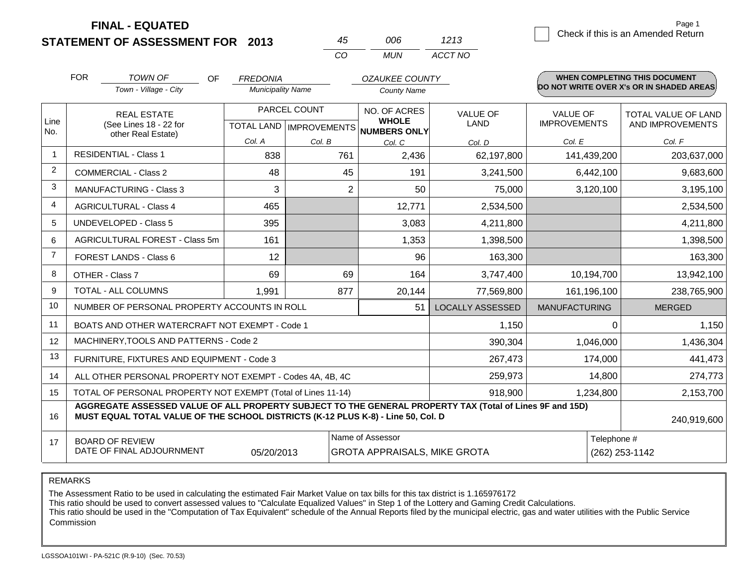**STATEMENT OF ASSESSMENT FOR 2013**

|     | ററഞ | 1213    |
|-----|-----|---------|
| CO. | MUN | ACCT NO |

|             | <b>FOR</b>                                                                                       | <b>TOWN OF</b><br>OF.                                                                                                                                                                        | <b>FREDONIA</b>          |                | <b>OZAUKEE COUNTY</b>                               |                         |                      | <b>WHEN COMPLETING THIS DOCUMENT</b>      |
|-------------|--------------------------------------------------------------------------------------------------|----------------------------------------------------------------------------------------------------------------------------------------------------------------------------------------------|--------------------------|----------------|-----------------------------------------------------|-------------------------|----------------------|-------------------------------------------|
|             |                                                                                                  | Town - Village - City                                                                                                                                                                        | <b>Municipality Name</b> |                | <b>County Name</b>                                  |                         |                      | DO NOT WRITE OVER X's OR IN SHADED AREAS. |
|             |                                                                                                  | <b>REAL ESTATE</b>                                                                                                                                                                           |                          | PARCEL COUNT   | NO. OF ACRES                                        | <b>VALUE OF</b>         | <b>VALUE OF</b>      | TOTAL VALUE OF LAND                       |
| Line<br>No. |                                                                                                  | (See Lines 18 - 22 for<br>other Real Estate)                                                                                                                                                 |                          |                | <b>WHOLE</b><br>TOTAL LAND MPROVEMENTS NUMBERS ONLY | LAND                    | <b>IMPROVEMENTS</b>  | AND IMPROVEMENTS                          |
|             |                                                                                                  |                                                                                                                                                                                              | Col. A                   | Col. B         | Col. C                                              | Col. D                  | Col. E               | Col. F                                    |
|             |                                                                                                  | <b>RESIDENTIAL - Class 1</b>                                                                                                                                                                 | 838                      | 761            | 2,436                                               | 62,197,800              | 141,439,200          | 203,637,000                               |
| 2           |                                                                                                  | <b>COMMERCIAL - Class 2</b>                                                                                                                                                                  | 48                       | 45             | 191                                                 | 3,241,500               | 6,442,100            | 9,683,600                                 |
| 3           |                                                                                                  | <b>MANUFACTURING - Class 3</b>                                                                                                                                                               | 3                        | $\overline{2}$ | 50                                                  | 75,000                  | 3,120,100            | 3,195,100                                 |
| 4           |                                                                                                  | <b>AGRICULTURAL - Class 4</b>                                                                                                                                                                | 465                      |                | 12,771                                              | 2,534,500               |                      | 2,534,500                                 |
| 5           |                                                                                                  | <b>UNDEVELOPED - Class 5</b>                                                                                                                                                                 | 395                      |                | 3,083                                               | 4,211,800               |                      | 4,211,800                                 |
| 6           |                                                                                                  | AGRICULTURAL FOREST - Class 5m                                                                                                                                                               | 161                      |                | 1,353                                               | 1,398,500               |                      | 1,398,500                                 |
| 7           |                                                                                                  | FOREST LANDS - Class 6                                                                                                                                                                       | 12                       |                | 96                                                  | 163,300                 |                      | 163,300                                   |
| 8           |                                                                                                  | OTHER - Class 7                                                                                                                                                                              | 69                       | 69             | 164                                                 | 3,747,400               | 10,194,700           | 13,942,100                                |
| 9           |                                                                                                  | TOTAL - ALL COLUMNS                                                                                                                                                                          | 1,991                    | 877            | 20,144                                              | 77,569,800              | 161,196,100          | 238,765,900                               |
| 10          |                                                                                                  | NUMBER OF PERSONAL PROPERTY ACCOUNTS IN ROLL                                                                                                                                                 |                          |                | 51                                                  | <b>LOCALLY ASSESSED</b> | <b>MANUFACTURING</b> | <b>MERGED</b>                             |
| 11          |                                                                                                  | BOATS AND OTHER WATERCRAFT NOT EXEMPT - Code 1                                                                                                                                               |                          |                |                                                     | 1,150                   | $\Omega$             | 1,150                                     |
| 12          |                                                                                                  | MACHINERY, TOOLS AND PATTERNS - Code 2                                                                                                                                                       |                          |                |                                                     | 390,304                 | 1,046,000            | 1,436,304                                 |
| 13          | FURNITURE, FIXTURES AND EQUIPMENT - Code 3                                                       |                                                                                                                                                                                              |                          |                |                                                     | 267,473                 | 174,000              | 441,473                                   |
| 14          | ALL OTHER PERSONAL PROPERTY NOT EXEMPT - Codes 4A, 4B, 4C                                        |                                                                                                                                                                                              |                          |                |                                                     | 259,973                 | 14,800               | 274,773                                   |
| 15          | TOTAL OF PERSONAL PROPERTY NOT EXEMPT (Total of Lines 11-14)                                     |                                                                                                                                                                                              |                          |                | 918,900                                             | 1,234,800               | 2,153,700            |                                           |
| 16          |                                                                                                  | AGGREGATE ASSESSED VALUE OF ALL PROPERTY SUBJECT TO THE GENERAL PROPERTY TAX (Total of Lines 9F and 15D)<br>MUST EQUAL TOTAL VALUE OF THE SCHOOL DISTRICTS (K-12 PLUS K-8) - Line 50, Col. D |                          |                |                                                     |                         |                      | 240,919,600                               |
| 17          |                                                                                                  | <b>BOARD OF REVIEW</b>                                                                                                                                                                       |                          |                | Name of Assessor                                    |                         | Telephone #          |                                           |
|             | DATE OF FINAL ADJOURNMENT<br>(262) 253-1142<br>05/20/2013<br><b>GROTA APPRAISALS, MIKE GROTA</b> |                                                                                                                                                                                              |                          |                |                                                     |                         |                      |                                           |

REMARKS

The Assessment Ratio to be used in calculating the estimated Fair Market Value on tax bills for this tax district is 1.165976172

This ratio should be used to convert assessed values to "Calculate Equalized Values" in Step 1 of the Lottery and Gaming Credit Calculations.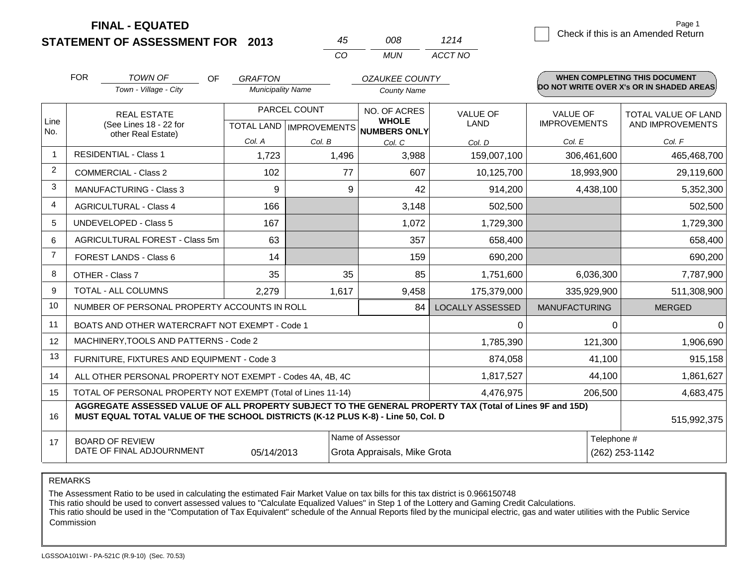| STATEMENT OF ASSESSMENT FOR 2013 |
|----------------------------------|
|----------------------------------|

| 45  | NO R  | 1214    |
|-----|-------|---------|
| CO. | MI IN | ACCT NO |

|                | <b>FOR</b>                                                                                                                                                                                                  | TOWN OF<br><b>OF</b>                           | <b>GRAFTON</b>           |                                           | <b>OZAUKEE COUNTY</b>                               |                         |                                        | <b>WHEN COMPLETING THIS DOCUMENT</b>     |
|----------------|-------------------------------------------------------------------------------------------------------------------------------------------------------------------------------------------------------------|------------------------------------------------|--------------------------|-------------------------------------------|-----------------------------------------------------|-------------------------|----------------------------------------|------------------------------------------|
|                |                                                                                                                                                                                                             | Town - Village - City                          | <b>Municipality Name</b> |                                           | <b>County Name</b>                                  |                         |                                        | DO NOT WRITE OVER X's OR IN SHADED AREAS |
| Line<br>No.    |                                                                                                                                                                                                             | <b>REAL ESTATE</b><br>(See Lines 18 - 22 for   |                          | PARCEL COUNT<br>TOTAL LAND   IMPROVEMENTS | NO. OF ACRES<br><b>WHOLE</b><br><b>NUMBERS ONLY</b> | VALUE OF<br><b>LAND</b> | <b>VALUE OF</b><br><b>IMPROVEMENTS</b> | TOTAL VALUE OF LAND<br>AND IMPROVEMENTS  |
|                |                                                                                                                                                                                                             | other Real Estate)                             | Col. A                   | Col. B                                    | Col. C                                              | Col. D                  | Col. E                                 | Col. F                                   |
|                |                                                                                                                                                                                                             | <b>RESIDENTIAL - Class 1</b>                   | 1,723                    | 1,496                                     | 3,988                                               | 159,007,100             | 306,461,600                            | 465,468,700                              |
| $\overline{c}$ |                                                                                                                                                                                                             | <b>COMMERCIAL - Class 2</b>                    | 102                      | 77                                        | 607                                                 | 10,125,700              | 18,993,900                             | 29,119,600                               |
| 3              |                                                                                                                                                                                                             | <b>MANUFACTURING - Class 3</b>                 | 9                        | 9                                         | 42                                                  | 914,200                 | 4,438,100                              | 5,352,300                                |
| 4              |                                                                                                                                                                                                             | <b>AGRICULTURAL - Class 4</b>                  | 166                      |                                           | 3,148                                               | 502,500                 |                                        | 502,500                                  |
| 5              |                                                                                                                                                                                                             | UNDEVELOPED - Class 5                          | 167                      |                                           | 1,072                                               | 1,729,300               |                                        | 1,729,300                                |
| 6              |                                                                                                                                                                                                             | AGRICULTURAL FOREST - Class 5m                 | 63                       |                                           | 357                                                 | 658,400                 |                                        | 658,400                                  |
| $\overline{7}$ |                                                                                                                                                                                                             | FOREST LANDS - Class 6                         | 14                       |                                           | 159                                                 | 690,200                 |                                        | 690,200                                  |
| 8              |                                                                                                                                                                                                             | OTHER - Class 7                                | 35                       | 35                                        | 85                                                  | 1,751,600               | 6,036,300                              | 7,787,900                                |
| 9              |                                                                                                                                                                                                             | TOTAL - ALL COLUMNS                            | 2,279                    | 1,617                                     | 9,458                                               | 175,379,000             | 335,929,900                            | 511,308,900                              |
| 10             |                                                                                                                                                                                                             | NUMBER OF PERSONAL PROPERTY ACCOUNTS IN ROLL   |                          |                                           | 84                                                  | <b>LOCALLY ASSESSED</b> | <b>MANUFACTURING</b>                   | <b>MERGED</b>                            |
| 11             |                                                                                                                                                                                                             | BOATS AND OTHER WATERCRAFT NOT EXEMPT - Code 1 |                          |                                           |                                                     | 0                       | $\Omega$                               | $\Omega$                                 |
| 12             |                                                                                                                                                                                                             | MACHINERY, TOOLS AND PATTERNS - Code 2         |                          |                                           |                                                     | 1,785,390               | 121,300                                | 1,906,690                                |
| 13             |                                                                                                                                                                                                             | FURNITURE, FIXTURES AND EQUIPMENT - Code 3     |                          |                                           |                                                     | 874,058                 | 41,100                                 | 915,158                                  |
| 14             | ALL OTHER PERSONAL PROPERTY NOT EXEMPT - Codes 4A, 4B, 4C                                                                                                                                                   |                                                |                          |                                           |                                                     | 1,817,527               | 44,100                                 | 1,861,627                                |
| 15             | TOTAL OF PERSONAL PROPERTY NOT EXEMPT (Total of Lines 11-14)                                                                                                                                                |                                                |                          |                                           |                                                     | 4,476,975               | 206,500                                | 4,683,475                                |
| 16             | AGGREGATE ASSESSED VALUE OF ALL PROPERTY SUBJECT TO THE GENERAL PROPERTY TAX (Total of Lines 9F and 15D)<br>MUST EQUAL TOTAL VALUE OF THE SCHOOL DISTRICTS (K-12 PLUS K-8) - Line 50, Col. D<br>515,992,375 |                                                |                          |                                           |                                                     |                         |                                        |                                          |
| 17             | Name of Assessor<br><b>BOARD OF REVIEW</b><br>DATE OF FINAL ADJOURNMENT<br>05/14/2013<br>Grota Appraisals, Mike Grota                                                                                       |                                                |                          |                                           |                                                     |                         | Telephone #                            | (262) 253-1142                           |

REMARKS

The Assessment Ratio to be used in calculating the estimated Fair Market Value on tax bills for this tax district is 0.966150748

This ratio should be used to convert assessed values to "Calculate Equalized Values" in Step 1 of the Lottery and Gaming Credit Calculations.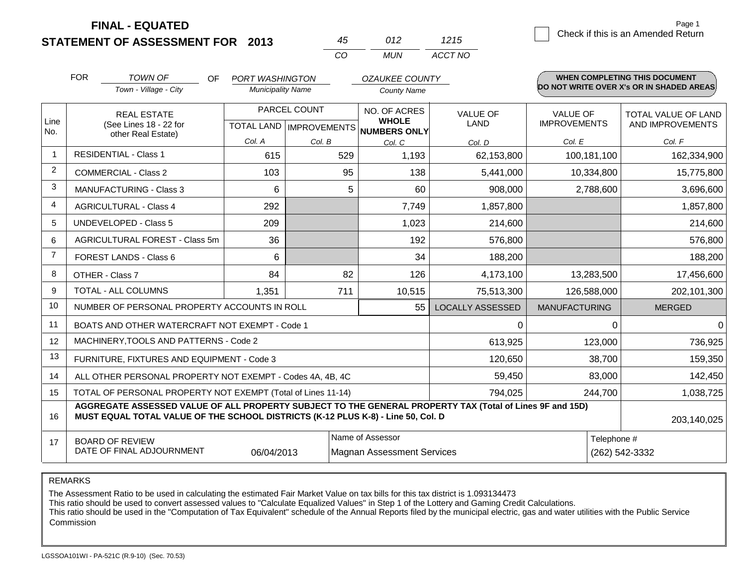**FINAL - EQUATED**

1215 **Check if this is an Amended Return** Page 1

|                | <b>FOR</b>                                                                   | TOWN OF<br>OF                                                                                                                                                                                | <b>PORT WASHINGTON</b>   |              | <b>OZAUKEE COUNTY</b>               |                         |                      | <b>WHEN COMPLETING THIS DOCUMENT</b>     |
|----------------|------------------------------------------------------------------------------|----------------------------------------------------------------------------------------------------------------------------------------------------------------------------------------------|--------------------------|--------------|-------------------------------------|-------------------------|----------------------|------------------------------------------|
|                |                                                                              | Town - Village - City                                                                                                                                                                        | <b>Municipality Name</b> |              | <b>County Name</b>                  |                         |                      | DO NOT WRITE OVER X's OR IN SHADED AREAS |
| Line           |                                                                              | <b>REAL ESTATE</b>                                                                                                                                                                           |                          | PARCEL COUNT | NO. OF ACRES<br><b>WHOLE</b>        | <b>VALUE OF</b>         | <b>VALUE OF</b>      | <b>TOTAL VALUE OF LAND</b>               |
| No.            |                                                                              | (See Lines 18 - 22 for<br>other Real Estate)                                                                                                                                                 |                          |              | TOTAL LAND MPROVEMENTS NUMBERS ONLY | <b>LAND</b>             | <b>IMPROVEMENTS</b>  | AND IMPROVEMENTS                         |
|                |                                                                              |                                                                                                                                                                                              | Col. A                   | Col. B       | Col. C                              | Col. D                  | Col. E               | Col. F                                   |
| -1             |                                                                              | <b>RESIDENTIAL - Class 1</b>                                                                                                                                                                 | 615                      | 529          | 1,193                               | 62,153,800              | 100,181,100          | 162,334,900                              |
| 2              |                                                                              | <b>COMMERCIAL - Class 2</b>                                                                                                                                                                  | 103                      |              | 95<br>138                           | 5,441,000               | 10,334,800           | 15,775,800                               |
| 3              |                                                                              | <b>MANUFACTURING - Class 3</b>                                                                                                                                                               | 6                        |              | 5<br>60                             | 908,000                 | 2,788,600            | 3,696,600                                |
| $\overline{4}$ |                                                                              | <b>AGRICULTURAL - Class 4</b>                                                                                                                                                                | 292                      |              | 7,749                               | 1,857,800               |                      | 1,857,800                                |
| 5              |                                                                              | <b>UNDEVELOPED - Class 5</b>                                                                                                                                                                 | 209                      |              | 1,023                               | 214,600                 |                      | 214,600                                  |
| 6              |                                                                              | AGRICULTURAL FOREST - Class 5m                                                                                                                                                               | 36                       |              | 192                                 | 576,800                 |                      | 576,800                                  |
| $\overline{7}$ |                                                                              | <b>FOREST LANDS - Class 6</b>                                                                                                                                                                | 6                        |              | 34                                  | 188,200                 |                      | 188,200                                  |
| 8              |                                                                              | OTHER - Class 7                                                                                                                                                                              | 84                       |              | 82<br>126                           | 4,173,100               | 13,283,500           | 17,456,600                               |
| 9              |                                                                              | TOTAL - ALL COLUMNS                                                                                                                                                                          | 1,351                    | 711          | 10,515                              | 75,513,300              | 126,588,000          | 202,101,300                              |
| 10             |                                                                              | NUMBER OF PERSONAL PROPERTY ACCOUNTS IN ROLL                                                                                                                                                 |                          |              | 55                                  | <b>LOCALLY ASSESSED</b> | <b>MANUFACTURING</b> | <b>MERGED</b>                            |
| 11             |                                                                              | BOATS AND OTHER WATERCRAFT NOT EXEMPT - Code 1                                                                                                                                               |                          |              |                                     | 0                       | $\Omega$             | $\Omega$                                 |
| 12             |                                                                              | MACHINERY, TOOLS AND PATTERNS - Code 2                                                                                                                                                       |                          |              |                                     | 613,925                 | 123,000              | 736,925                                  |
| 13             | FURNITURE, FIXTURES AND EQUIPMENT - Code 3                                   |                                                                                                                                                                                              |                          |              |                                     | 120,650                 | 38,700               | 159,350                                  |
| 14             | ALL OTHER PERSONAL PROPERTY NOT EXEMPT - Codes 4A, 4B, 4C                    |                                                                                                                                                                                              |                          |              |                                     | 59,450                  | 83,000               | 142,450                                  |
| 15             | TOTAL OF PERSONAL PROPERTY NOT EXEMPT (Total of Lines 11-14)                 |                                                                                                                                                                                              |                          |              | 794,025                             | 244,700                 | 1,038,725            |                                          |
| 16             |                                                                              | AGGREGATE ASSESSED VALUE OF ALL PROPERTY SUBJECT TO THE GENERAL PROPERTY TAX (Total of Lines 9F and 15D)<br>MUST EQUAL TOTAL VALUE OF THE SCHOOL DISTRICTS (K-12 PLUS K-8) - Line 50, Col. D |                          |              |                                     |                         |                      | 203,140,025                              |
| 17             |                                                                              | <b>BOARD OF REVIEW</b>                                                                                                                                                                       |                          |              | Name of Assessor                    |                         | Telephone #          |                                          |
|                | DATE OF FINAL ADJOURNMENT<br>06/04/2013<br><b>Magnan Assessment Services</b> |                                                                                                                                                                                              |                          |              |                                     |                         |                      | (262) 542-3332                           |

*CO MUN*

*ACCT NO*

*45 012*

REMARKS

The Assessment Ratio to be used in calculating the estimated Fair Market Value on tax bills for this tax district is 1.093134473

This ratio should be used to convert assessed values to "Calculate Equalized Values" in Step 1 of the Lottery and Gaming Credit Calculations.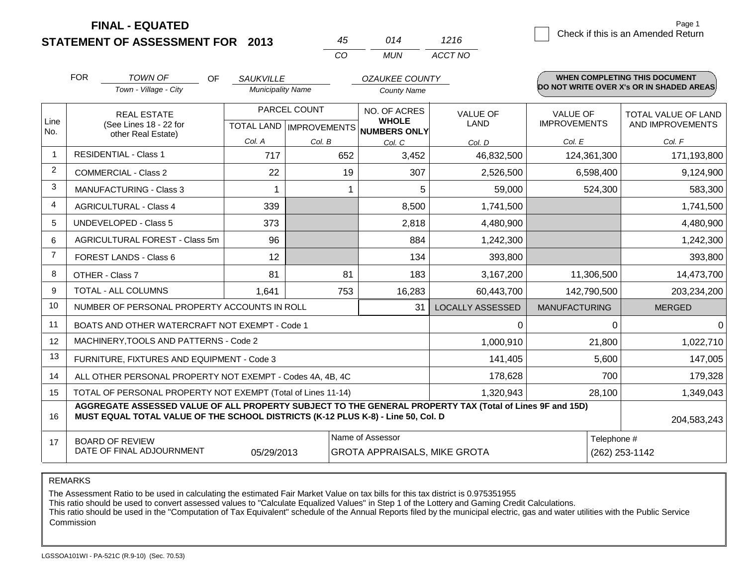**STATEMENT OF ASSESSMENT FOR 2013**

| 45          | 014   | 1216    |
|-------------|-------|---------|
| $($ . $($ ) | MI IN | ACCT NO |

|                | <b>FOR</b><br><b>TOWN OF</b><br><b>OF</b><br>Town - Village - City                                                                                                                           | <b>SAUKVILLE</b><br><b>Municipality Name</b> |                                           | <b>OZAUKEE COUNTY</b><br><b>County Name</b>             |                                |                                 | <b>WHEN COMPLETING THIS DOCUMENT</b><br>DO NOT WRITE OVER X's OR IN SHADED AREAS |
|----------------|----------------------------------------------------------------------------------------------------------------------------------------------------------------------------------------------|----------------------------------------------|-------------------------------------------|---------------------------------------------------------|--------------------------------|---------------------------------|----------------------------------------------------------------------------------|
| Line<br>No.    | <b>REAL ESTATE</b><br>(See Lines 18 - 22 for                                                                                                                                                 |                                              | PARCEL COUNT<br>TOTAL LAND   IMPROVEMENTS | NO. OF ACRES<br><b>WHOLE</b><br><b>NUMBERS ONLY</b>     | <b>VALUE OF</b><br><b>LAND</b> | VALUE OF<br><b>IMPROVEMENTS</b> | <b>TOTAL VALUE OF LAND</b><br>AND IMPROVEMENTS                                   |
|                | other Real Estate)                                                                                                                                                                           | Col. A                                       | Col. B                                    | Col. C                                                  | Col. D                         | Col. E                          | Col. F                                                                           |
|                | <b>RESIDENTIAL - Class 1</b>                                                                                                                                                                 | 717                                          | 652                                       | 3,452                                                   | 46,832,500                     | 124,361,300                     | 171,193,800                                                                      |
| 2              | <b>COMMERCIAL - Class 2</b>                                                                                                                                                                  | 22                                           | 19                                        | 307                                                     | 2,526,500                      | 6,598,400                       | 9,124,900                                                                        |
| 3              | <b>MANUFACTURING - Class 3</b>                                                                                                                                                               |                                              |                                           | 5                                                       | 59,000                         | 524,300                         | 583,300                                                                          |
| 4              | <b>AGRICULTURAL - Class 4</b>                                                                                                                                                                | 339                                          |                                           | 8,500                                                   | 1,741,500                      |                                 | 1,741,500                                                                        |
| 5              | <b>UNDEVELOPED - Class 5</b>                                                                                                                                                                 | 373                                          |                                           | 2,818                                                   | 4,480,900                      |                                 | 4,480,900                                                                        |
| 6              | AGRICULTURAL FOREST - Class 5m                                                                                                                                                               | 96                                           |                                           | 884                                                     | 1,242,300                      |                                 | 1,242,300                                                                        |
| $\overline{7}$ | FOREST LANDS - Class 6                                                                                                                                                                       | 12                                           |                                           | 134                                                     | 393,800                        |                                 | 393,800                                                                          |
| 8              | OTHER - Class 7                                                                                                                                                                              | 81                                           | 81                                        | 183                                                     | 3,167,200                      | 11,306,500                      | 14,473,700                                                                       |
| 9              | TOTAL - ALL COLUMNS                                                                                                                                                                          | 1,641                                        | 753                                       | 16,283                                                  | 60,443,700                     | 142,790,500                     | 203,234,200                                                                      |
| 10             | NUMBER OF PERSONAL PROPERTY ACCOUNTS IN ROLL                                                                                                                                                 |                                              |                                           | 31                                                      | <b>LOCALLY ASSESSED</b>        | <b>MANUFACTURING</b>            | <b>MERGED</b>                                                                    |
| 11             | BOATS AND OTHER WATERCRAFT NOT EXEMPT - Code 1                                                                                                                                               |                                              |                                           |                                                         | $\Omega$                       | $\Omega$                        | $\Omega$                                                                         |
| 12             | MACHINERY, TOOLS AND PATTERNS - Code 2                                                                                                                                                       |                                              |                                           |                                                         | 1,000,910                      | 21,800                          | 1,022,710                                                                        |
| 13             | FURNITURE, FIXTURES AND EQUIPMENT - Code 3                                                                                                                                                   |                                              |                                           |                                                         | 141,405                        | 5,600                           | 147,005                                                                          |
| 14             | ALL OTHER PERSONAL PROPERTY NOT EXEMPT - Codes 4A, 4B, 4C                                                                                                                                    |                                              |                                           |                                                         | 178,628                        | 700                             | 179,328                                                                          |
| 15             | TOTAL OF PERSONAL PROPERTY NOT EXEMPT (Total of Lines 11-14)                                                                                                                                 |                                              |                                           |                                                         | 1,320,943                      | 28,100                          | 1,349,043                                                                        |
| 16             | AGGREGATE ASSESSED VALUE OF ALL PROPERTY SUBJECT TO THE GENERAL PROPERTY TAX (Total of Lines 9F and 15D)<br>MUST EQUAL TOTAL VALUE OF THE SCHOOL DISTRICTS (K-12 PLUS K-8) - Line 50, Col. D |                                              |                                           |                                                         |                                |                                 | 204,583,243                                                                      |
| 17             | <b>BOARD OF REVIEW</b><br>DATE OF FINAL ADJOURNMENT                                                                                                                                          | 05/29/2013                                   |                                           | Name of Assessor<br><b>GROTA APPRAISALS, MIKE GROTA</b> |                                | Telephone #                     | (262) 253-1142                                                                   |

REMARKS

The Assessment Ratio to be used in calculating the estimated Fair Market Value on tax bills for this tax district is 0.975351955

This ratio should be used to convert assessed values to "Calculate Equalized Values" in Step 1 of the Lottery and Gaming Credit Calculations.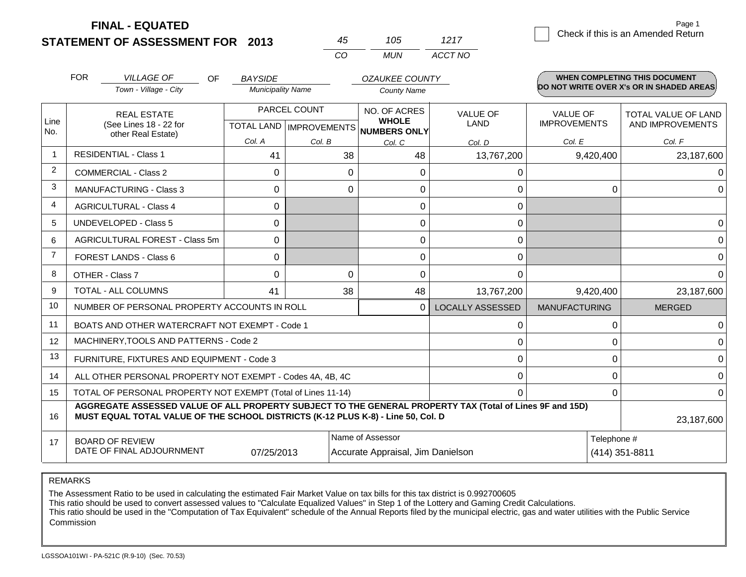**FINAL - EQUATED**

1217 Check if this is an Amended Return Page 1

|                | <b>FOR</b> | <b>VILLAGE OF</b><br>OF                                                                                                                                                                      | <b>BAYSIDE</b>           |                           | <b>OZAUKEE COUNTY</b>             |                         |                      | <b>WHEN COMPLETING THIS DOCUMENT</b>     |
|----------------|------------|----------------------------------------------------------------------------------------------------------------------------------------------------------------------------------------------|--------------------------|---------------------------|-----------------------------------|-------------------------|----------------------|------------------------------------------|
|                |            | Town - Village - City                                                                                                                                                                        | <b>Municipality Name</b> |                           | <b>County Name</b>                |                         |                      | DO NOT WRITE OVER X's OR IN SHADED AREAS |
|                |            | <b>REAL ESTATE</b>                                                                                                                                                                           |                          | PARCEL COUNT              | NO. OF ACRES                      | <b>VALUE OF</b>         | <b>VALUE OF</b>      | <b>TOTAL VALUE OF LAND</b>               |
| Line<br>No.    |            | (See Lines 18 - 22 for<br>other Real Estate)                                                                                                                                                 |                          | TOTAL LAND   IMPROVEMENTS | <b>WHOLE</b><br>NUMBERS ONLY      | LAND                    | <b>IMPROVEMENTS</b>  | AND IMPROVEMENTS                         |
|                |            |                                                                                                                                                                                              | Col. A                   | Col. B                    | Col. C                            | Col. D                  | Col. E               | Col. F                                   |
| $\overline{1}$ |            | <b>RESIDENTIAL - Class 1</b>                                                                                                                                                                 | 41                       | 38                        | 48                                | 13,767,200              | 9,420,400            | 23,187,600                               |
| $\overline{2}$ |            | <b>COMMERCIAL - Class 2</b>                                                                                                                                                                  | 0                        | 0                         | $\Omega$                          | 0                       |                      | $\Omega$                                 |
| 3              |            | <b>MANUFACTURING - Class 3</b>                                                                                                                                                               | 0                        | $\Omega$                  | $\Omega$                          | 0                       | $\Omega$             | $\Omega$                                 |
| 4              |            | <b>AGRICULTURAL - Class 4</b>                                                                                                                                                                | 0                        |                           | $\Omega$                          | 0                       |                      |                                          |
| 5              |            | <b>UNDEVELOPED - Class 5</b>                                                                                                                                                                 | $\Omega$                 |                           | $\Omega$                          | 0                       |                      | $\Omega$                                 |
| 6              |            | AGRICULTURAL FOREST - Class 5m                                                                                                                                                               | 0                        |                           | $\Omega$                          | 0                       |                      | $\mathbf 0$                              |
| $\overline{7}$ |            | <b>FOREST LANDS - Class 6</b>                                                                                                                                                                | $\Omega$                 |                           | $\mathbf 0$                       | 0                       |                      | $\overline{0}$                           |
| 8              |            | OTHER - Class 7                                                                                                                                                                              | $\Omega$                 | $\Omega$                  | $\Omega$                          | $\Omega$                |                      | $\Omega$                                 |
| 9              |            | <b>TOTAL - ALL COLUMNS</b>                                                                                                                                                                   | 41                       | 38                        | 48                                | 13,767,200              | 9,420,400            | 23,187,600                               |
| 10             |            | NUMBER OF PERSONAL PROPERTY ACCOUNTS IN ROLL                                                                                                                                                 |                          |                           | $\Omega$                          | <b>LOCALLY ASSESSED</b> | <b>MANUFACTURING</b> | <b>MERGED</b>                            |
| 11             |            | BOATS AND OTHER WATERCRAFT NOT EXEMPT - Code 1                                                                                                                                               |                          |                           |                                   | 0                       | 0                    | 0                                        |
| 12             |            | MACHINERY, TOOLS AND PATTERNS - Code 2                                                                                                                                                       |                          |                           |                                   | 0                       | $\Omega$             | $\mathbf 0$                              |
| 13             |            | FURNITURE, FIXTURES AND EQUIPMENT - Code 3                                                                                                                                                   |                          |                           |                                   | 0                       | $\Omega$             | $\mathbf 0$                              |
| 14             |            | ALL OTHER PERSONAL PROPERTY NOT EXEMPT - Codes 4A, 4B, 4C                                                                                                                                    |                          |                           |                                   | 0                       | 0                    | $\mathbf 0$                              |
| 15             |            | TOTAL OF PERSONAL PROPERTY NOT EXEMPT (Total of Lines 11-14)                                                                                                                                 |                          |                           |                                   | $\Omega$                | $\Omega$             | $\mathbf 0$                              |
| 16             |            | AGGREGATE ASSESSED VALUE OF ALL PROPERTY SUBJECT TO THE GENERAL PROPERTY TAX (Total of Lines 9F and 15D)<br>MUST EQUAL TOTAL VALUE OF THE SCHOOL DISTRICTS (K-12 PLUS K-8) - Line 50, Col. D |                          |                           |                                   |                         |                      | 23,187,600                               |
| 17             |            | <b>BOARD OF REVIEW</b>                                                                                                                                                                       |                          |                           | Name of Assessor                  |                         | Telephone #          |                                          |
|                |            | DATE OF FINAL ADJOURNMENT                                                                                                                                                                    | 07/25/2013               |                           | Accurate Appraisal, Jim Danielson |                         |                      | (414) 351-8811                           |

*CO MUN*

*ACCT NO*

*45 105*

REMARKS

The Assessment Ratio to be used in calculating the estimated Fair Market Value on tax bills for this tax district is 0.992700605

This ratio should be used to convert assessed values to "Calculate Equalized Values" in Step 1 of the Lottery and Gaming Credit Calculations.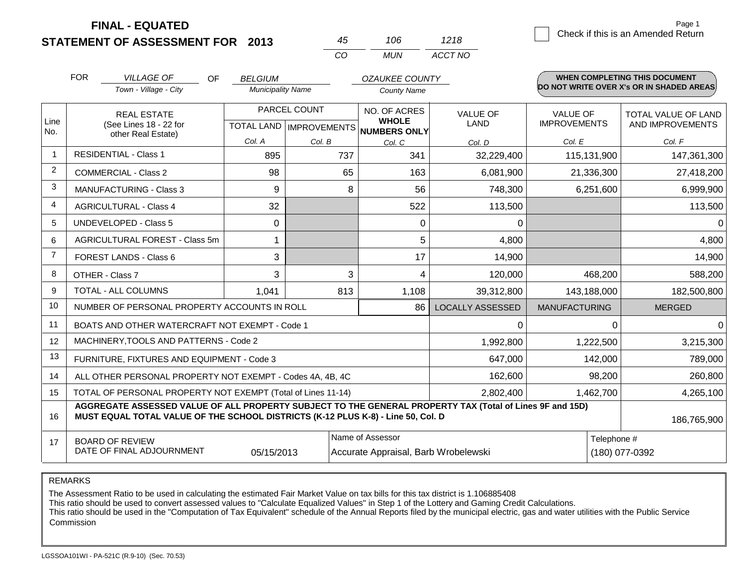**FINAL - EQUATED**

|      |                                    | Page 1 |
|------|------------------------------------|--------|
| 1218 | Check if this is an Amended Return |        |

|                | <b>FOR</b> | <b>VILLAGE OF</b><br><b>OF</b><br>Town - Village - City                                                                                                                                      | <b>BELGIUM</b><br><b>Municipality Name</b> |                                           |                                      | <b>OZAUKEE COUNTY</b><br><b>County Name</b>         |                                |                                        |                | WHEN COMPLETING THIS DOCUMENT<br>DO NOT WRITE OVER X's OR IN SHADED AREAS. |
|----------------|------------|----------------------------------------------------------------------------------------------------------------------------------------------------------------------------------------------|--------------------------------------------|-------------------------------------------|--------------------------------------|-----------------------------------------------------|--------------------------------|----------------------------------------|----------------|----------------------------------------------------------------------------|
| Line<br>No.    |            | <b>REAL ESTATE</b><br>(See Lines 18 - 22 for<br>other Real Estate)                                                                                                                           |                                            | PARCEL COUNT<br>TOTAL LAND   IMPROVEMENTS |                                      | NO. OF ACRES<br><b>WHOLE</b><br><b>NUMBERS ONLY</b> | <b>VALUE OF</b><br><b>LAND</b> | <b>VALUE OF</b><br><b>IMPROVEMENTS</b> |                | TOTAL VALUE OF LAND<br>AND IMPROVEMENTS                                    |
|                |            |                                                                                                                                                                                              | Col. A                                     | Col. B                                    |                                      | Col. C                                              | Col. D                         | Col. E                                 |                | Col. F                                                                     |
|                |            | <b>RESIDENTIAL - Class 1</b>                                                                                                                                                                 | 895                                        |                                           | 737                                  | 341                                                 | 32,229,400                     |                                        | 115,131,900    | 147,361,300                                                                |
| 2              |            | <b>COMMERCIAL - Class 2</b>                                                                                                                                                                  | 98                                         |                                           | 65                                   | 163                                                 | 6,081,900                      |                                        | 21,336,300     | 27,418,200                                                                 |
| 3              |            | <b>MANUFACTURING - Class 3</b>                                                                                                                                                               | 9                                          |                                           | 8                                    | 56                                                  | 748,300                        |                                        | 6,251,600      | 6,999,900                                                                  |
| $\overline{4}$ |            | <b>AGRICULTURAL - Class 4</b>                                                                                                                                                                | 32                                         |                                           |                                      | 522                                                 | 113,500                        |                                        |                | 113,500                                                                    |
| 5              |            | <b>UNDEVELOPED - Class 5</b>                                                                                                                                                                 | 0                                          |                                           |                                      | 0                                                   | 0                              |                                        |                | $\Omega$                                                                   |
| 6              |            | AGRICULTURAL FOREST - Class 5m                                                                                                                                                               |                                            |                                           |                                      | 5                                                   | 4,800                          |                                        |                | 4,800                                                                      |
| $\overline{7}$ |            | FOREST LANDS - Class 6                                                                                                                                                                       | 3                                          |                                           |                                      | 17                                                  | 14,900                         |                                        |                | 14,900                                                                     |
| 8              |            | OTHER - Class 7                                                                                                                                                                              | 3                                          |                                           | 3                                    | 4                                                   | 120,000                        |                                        | 468,200        | 588,200                                                                    |
| 9              |            | TOTAL - ALL COLUMNS                                                                                                                                                                          | 1,041                                      |                                           | 813                                  | 1,108                                               | 39,312,800                     |                                        | 143,188,000    | 182,500,800                                                                |
| 10             |            | NUMBER OF PERSONAL PROPERTY ACCOUNTS IN ROLL                                                                                                                                                 |                                            |                                           |                                      | 86                                                  | <b>LOCALLY ASSESSED</b>        | <b>MANUFACTURING</b>                   |                | <b>MERGED</b>                                                              |
| 11             |            | BOATS AND OTHER WATERCRAFT NOT EXEMPT - Code 1                                                                                                                                               |                                            |                                           |                                      |                                                     | $\Omega$                       |                                        | $\Omega$       | $\Omega$                                                                   |
| 12             |            | MACHINERY, TOOLS AND PATTERNS - Code 2                                                                                                                                                       |                                            |                                           |                                      |                                                     | 1,992,800                      |                                        | 1,222,500      | 3,215,300                                                                  |
| 13             |            | FURNITURE, FIXTURES AND EQUIPMENT - Code 3                                                                                                                                                   |                                            |                                           |                                      |                                                     | 647,000                        |                                        | 142,000        | 789,000                                                                    |
| 14             |            | ALL OTHER PERSONAL PROPERTY NOT EXEMPT - Codes 4A, 4B, 4C                                                                                                                                    |                                            |                                           |                                      |                                                     | 162,600                        |                                        | 98,200         | 260,800                                                                    |
| 15             |            | TOTAL OF PERSONAL PROPERTY NOT EXEMPT (Total of Lines 11-14)                                                                                                                                 |                                            |                                           |                                      |                                                     | 2,802,400                      |                                        | 1,462,700      | 4,265,100                                                                  |
| 16             |            | AGGREGATE ASSESSED VALUE OF ALL PROPERTY SUBJECT TO THE GENERAL PROPERTY TAX (Total of Lines 9F and 15D)<br>MUST EQUAL TOTAL VALUE OF THE SCHOOL DISTRICTS (K-12 PLUS K-8) - Line 50, Col. D |                                            |                                           |                                      |                                                     |                                |                                        |                | 186,765,900                                                                |
| 17             |            | <b>BOARD OF REVIEW</b>                                                                                                                                                                       |                                            |                                           |                                      | Name of Assessor                                    |                                |                                        | Telephone #    |                                                                            |
|                |            | DATE OF FINAL ADJOURNMENT                                                                                                                                                                    | 05/15/2013                                 |                                           | Accurate Appraisal, Barb Wrobelewski |                                                     |                                |                                        | (180) 077-0392 |                                                                            |

*CO MUN*

*ACCT NO*

*45 106*

REMARKS

The Assessment Ratio to be used in calculating the estimated Fair Market Value on tax bills for this tax district is 1.106885408

This ratio should be used to convert assessed values to "Calculate Equalized Values" in Step 1 of the Lottery and Gaming Credit Calculations.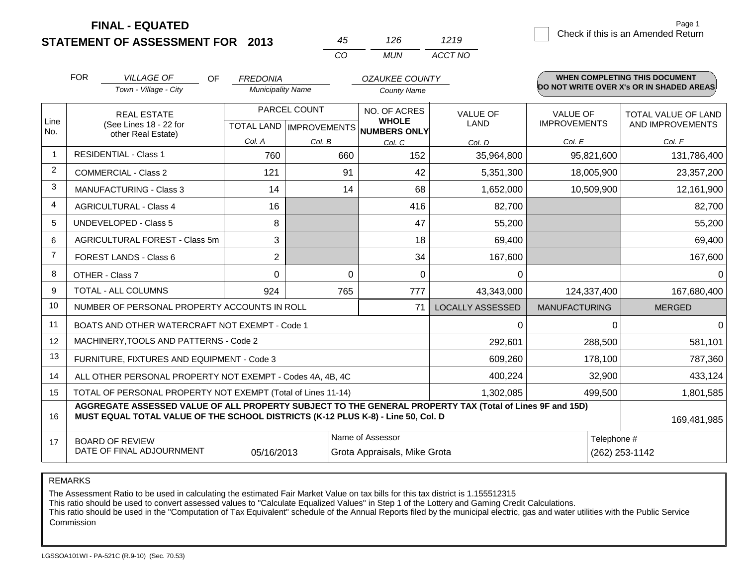**FINAL - EQUATED**

|      |                                    | Page 1 |
|------|------------------------------------|--------|
| 1219 | Check if this is an Amended Return |        |

|             | <b>FOR</b> | <b>VILLAGE OF</b><br><b>OF</b>                                                                                                                                                               | <b>FREDONIA</b>          |                           | <b>OZAUKEE COUNTY</b>        |                         |                      | <b>WHEN COMPLETING THIS DOCUMENT</b>     |  |
|-------------|------------|----------------------------------------------------------------------------------------------------------------------------------------------------------------------------------------------|--------------------------|---------------------------|------------------------------|-------------------------|----------------------|------------------------------------------|--|
|             |            | Town - Village - City                                                                                                                                                                        | <b>Municipality Name</b> |                           | <b>County Name</b>           |                         |                      | DO NOT WRITE OVER X's OR IN SHADED AREAS |  |
|             |            | <b>REAL ESTATE</b>                                                                                                                                                                           | PARCEL COUNT             |                           | NO. OF ACRES                 | <b>VALUE OF</b>         | <b>VALUE OF</b>      | TOTAL VALUE OF LAND                      |  |
| Line<br>No. |            | (See Lines 18 - 22 for<br>other Real Estate)                                                                                                                                                 |                          | TOTAL LAND   IMPROVEMENTS | <b>WHOLE</b><br>NUMBERS ONLY | LAND                    | <b>IMPROVEMENTS</b>  | AND IMPROVEMENTS                         |  |
|             |            |                                                                                                                                                                                              | Col. A                   | Col. B                    | Col. C                       | Col. D                  | Col. E               | Col. F                                   |  |
|             |            | <b>RESIDENTIAL - Class 1</b>                                                                                                                                                                 | 760                      | 660                       | 152                          | 35,964,800              | 95,821,600           | 131,786,400                              |  |
| 2           |            | <b>COMMERCIAL - Class 2</b>                                                                                                                                                                  | 121                      | 91                        | 42                           | 5,351,300               | 18,005,900           | 23,357,200                               |  |
| 3           |            | <b>MANUFACTURING - Class 3</b>                                                                                                                                                               | 14                       | 14                        | 68                           | 1,652,000               | 10,509,900           | 12,161,900                               |  |
| 4           |            | <b>AGRICULTURAL - Class 4</b>                                                                                                                                                                | 16                       |                           | 416                          | 82,700                  |                      | 82,700                                   |  |
| 5           |            | <b>UNDEVELOPED - Class 5</b>                                                                                                                                                                 | 8                        |                           | 47                           | 55,200                  |                      | 55,200                                   |  |
| 6           |            | AGRICULTURAL FOREST - Class 5m                                                                                                                                                               | 3                        |                           | 18                           | 69,400                  |                      | 69,400                                   |  |
| 7           |            | FOREST LANDS - Class 6                                                                                                                                                                       | $\overline{2}$           |                           | 34                           | 167,600                 |                      | 167,600                                  |  |
| 8           |            | OTHER - Class 7                                                                                                                                                                              | 0                        | $\Omega$                  | $\mathbf{0}$                 | 0                       |                      | $\mathbf 0$                              |  |
| 9           |            | TOTAL - ALL COLUMNS                                                                                                                                                                          | 924                      | 765                       | 777                          | 43,343,000              | 124,337,400          | 167,680,400                              |  |
| 10          |            | NUMBER OF PERSONAL PROPERTY ACCOUNTS IN ROLL                                                                                                                                                 |                          |                           | 71                           | <b>LOCALLY ASSESSED</b> | <b>MANUFACTURING</b> | <b>MERGED</b>                            |  |
| 11          |            | BOATS AND OTHER WATERCRAFT NOT EXEMPT - Code 1                                                                                                                                               |                          |                           |                              | $\Omega$                | $\Omega$             | $\Omega$                                 |  |
| 12          |            | MACHINERY, TOOLS AND PATTERNS - Code 2                                                                                                                                                       |                          |                           |                              | 292,601                 | 288,500              | 581,101                                  |  |
| 13          |            | FURNITURE, FIXTURES AND EQUIPMENT - Code 3                                                                                                                                                   |                          |                           |                              | 609,260                 | 178,100              | 787,360                                  |  |
| 14          |            | ALL OTHER PERSONAL PROPERTY NOT EXEMPT - Codes 4A, 4B, 4C                                                                                                                                    |                          |                           |                              | 400,224                 | 32,900               | 433,124                                  |  |
| 15          |            | TOTAL OF PERSONAL PROPERTY NOT EXEMPT (Total of Lines 11-14)                                                                                                                                 |                          |                           |                              | 1,302,085               | 499,500              | 1,801,585                                |  |
| 16          |            | AGGREGATE ASSESSED VALUE OF ALL PROPERTY SUBJECT TO THE GENERAL PROPERTY TAX (Total of Lines 9F and 15D)<br>MUST EQUAL TOTAL VALUE OF THE SCHOOL DISTRICTS (K-12 PLUS K-8) - Line 50, Col. D |                          |                           |                              |                         |                      | 169,481,985                              |  |
| 17          |            | <b>BOARD OF REVIEW</b>                                                                                                                                                                       |                          |                           | Name of Assessor             |                         | Telephone #          |                                          |  |
|             |            | DATE OF FINAL ADJOURNMENT                                                                                                                                                                    | 05/16/2013               |                           | Grota Appraisals, Mike Grota |                         | (262) 253-1142       |                                          |  |

*CO MUN*

*ACCT NO*

*45 126*

REMARKS

The Assessment Ratio to be used in calculating the estimated Fair Market Value on tax bills for this tax district is 1.155512315

This ratio should be used to convert assessed values to "Calculate Equalized Values" in Step 1 of the Lottery and Gaming Credit Calculations.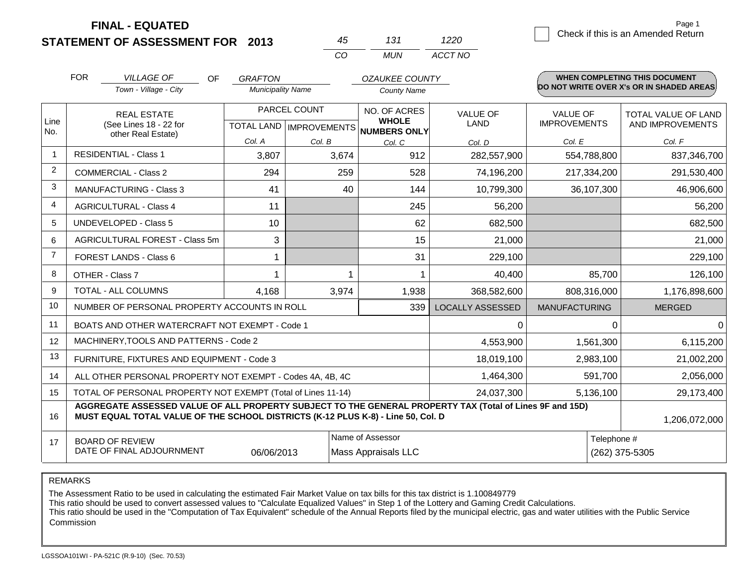**STATEMENT OF ASSESSMENT FOR 2013**

|     | 131   | 1220    |
|-----|-------|---------|
| CO. | MI IN | ACCT NO |

|                | <b>FOR</b>                                                                                                                         | <b>VILLAGE OF</b><br>OF<br>Town - Village - City                                 | <b>GRAFTON</b><br><b>Municipality Name</b> |                              | <b>OZAUKEE COUNTY</b><br><b>County Name</b> |                                                                                                          |                                                | <b>WHEN COMPLETING THIS DOCUMENT</b><br>DO NOT WRITE OVER X's OR IN SHADED AREAS |
|----------------|------------------------------------------------------------------------------------------------------------------------------------|----------------------------------------------------------------------------------|--------------------------------------------|------------------------------|---------------------------------------------|----------------------------------------------------------------------------------------------------------|------------------------------------------------|----------------------------------------------------------------------------------|
| Line<br>No.    | PARCEL COUNT<br><b>REAL ESTATE</b><br>(See Lines 18 - 22 for<br>TOTAL LAND MPROVEMENTS NUMBERS ONLY<br>other Real Estate)          |                                                                                  |                                            | NO. OF ACRES<br><b>WHOLE</b> | <b>VALUE OF</b><br><b>LAND</b>              | <b>VALUE OF</b><br><b>IMPROVEMENTS</b>                                                                   | <b>TOTAL VALUE OF LAND</b><br>AND IMPROVEMENTS |                                                                                  |
|                |                                                                                                                                    |                                                                                  | Col. A                                     | Col. B                       | Col. C                                      | Col. D                                                                                                   | Col. E                                         | Col. F                                                                           |
| $\overline{1}$ | <b>RESIDENTIAL - Class 1</b>                                                                                                       |                                                                                  | 3,807                                      | 3,674                        | 912                                         | 282,557,900                                                                                              | 554,788,800                                    | 837,346,700                                                                      |
| 2              | <b>COMMERCIAL - Class 2</b>                                                                                                        |                                                                                  | 294                                        | 259                          | 528                                         | 74,196,200                                                                                               | 217,334,200                                    | 291,530,400                                                                      |
| 3              | <b>MANUFACTURING - Class 3</b>                                                                                                     |                                                                                  | 41                                         | 40                           | 144                                         | 10,799,300                                                                                               | 36,107,300                                     | 46,906,600                                                                       |
| 4              | <b>AGRICULTURAL - Class 4</b>                                                                                                      |                                                                                  | 11                                         |                              | 245                                         | 56,200                                                                                                   |                                                | 56,200                                                                           |
| 5              | <b>UNDEVELOPED - Class 5</b>                                                                                                       |                                                                                  | 10                                         |                              | 62                                          | 682,500                                                                                                  |                                                | 682,500                                                                          |
| 6              |                                                                                                                                    | AGRICULTURAL FOREST - Class 5m                                                   | 3                                          |                              | 15                                          | 21,000                                                                                                   |                                                | 21,000                                                                           |
| $\overline{7}$ | FOREST LANDS - Class 6                                                                                                             |                                                                                  |                                            |                              | 31                                          | 229,100                                                                                                  |                                                | 229,100                                                                          |
| 8              | OTHER - Class 7                                                                                                                    |                                                                                  |                                            |                              |                                             | 40,400                                                                                                   | 85,700                                         | 126,100                                                                          |
| 9              | TOTAL - ALL COLUMNS                                                                                                                |                                                                                  | 4,168                                      | 3,974                        | 1,938                                       | 368,582,600                                                                                              | 808,316,000                                    | 1,176,898,600                                                                    |
| 10             |                                                                                                                                    | NUMBER OF PERSONAL PROPERTY ACCOUNTS IN ROLL                                     |                                            |                              | 339                                         | <b>LOCALLY ASSESSED</b>                                                                                  | <b>MANUFACTURING</b>                           | <b>MERGED</b>                                                                    |
| 11             |                                                                                                                                    | BOATS AND OTHER WATERCRAFT NOT EXEMPT - Code 1                                   |                                            |                              |                                             | 0                                                                                                        | 0                                              | $\Omega$                                                                         |
| 12             |                                                                                                                                    | MACHINERY, TOOLS AND PATTERNS - Code 2                                           |                                            |                              |                                             | 4,553,900                                                                                                | 1,561,300                                      | 6,115,200                                                                        |
| 13             |                                                                                                                                    | FURNITURE, FIXTURES AND EQUIPMENT - Code 3                                       |                                            |                              |                                             | 18,019,100                                                                                               | 2,983,100                                      | 21,002,200                                                                       |
| 14             |                                                                                                                                    | ALL OTHER PERSONAL PROPERTY NOT EXEMPT - Codes 4A, 4B, 4C                        |                                            |                              |                                             | 1,464,300                                                                                                | 591,700                                        | 2,056,000                                                                        |
| 15             |                                                                                                                                    | TOTAL OF PERSONAL PROPERTY NOT EXEMPT (Total of Lines 11-14)                     |                                            |                              |                                             | 24,037,300                                                                                               | 5,136,100                                      | 29,173,400                                                                       |
| 16             |                                                                                                                                    | MUST EQUAL TOTAL VALUE OF THE SCHOOL DISTRICTS (K-12 PLUS K-8) - Line 50, Col. D |                                            |                              |                                             | AGGREGATE ASSESSED VALUE OF ALL PROPERTY SUBJECT TO THE GENERAL PROPERTY TAX (Total of Lines 9F and 15D) |                                                | 1,206,072,000                                                                    |
| 17             | Name of Assessor<br>Telephone #<br><b>BOARD OF REVIEW</b><br>DATE OF FINAL ADJOURNMENT<br>06/06/2013<br><b>Mass Appraisals LLC</b> |                                                                                  |                                            |                              |                                             |                                                                                                          | (262) 375-5305                                 |                                                                                  |

REMARKS

The Assessment Ratio to be used in calculating the estimated Fair Market Value on tax bills for this tax district is 1.100849779

This ratio should be used to convert assessed values to "Calculate Equalized Values" in Step 1 of the Lottery and Gaming Credit Calculations.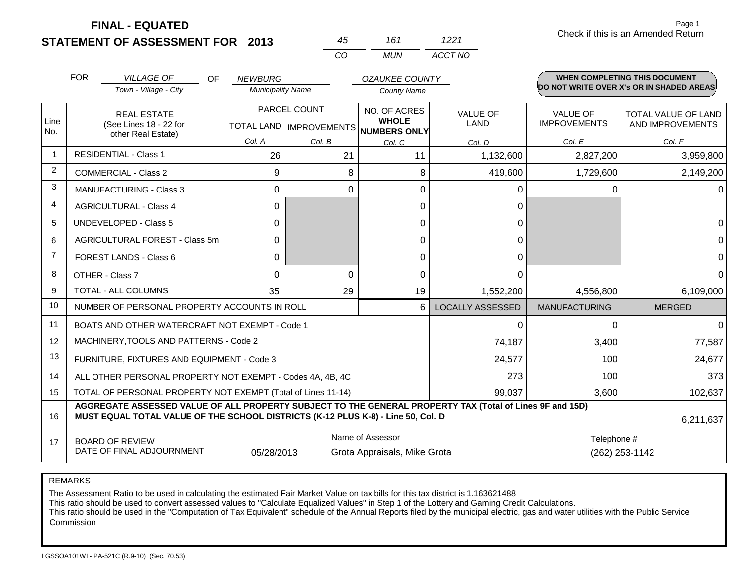**FINAL - EQUATED**

|                | <b>FOR</b> | <b>VILLAGE OF</b><br>OF                                                                                                                                                                      | <b>NEWBURG</b>           |                           | <b>OZAUKEE COUNTY</b>        |                         |                      | WHEN COMPLETING THIS DOCUMENT<br>DO NOT WRITE OVER X's OR IN SHADED AREAS. |
|----------------|------------|----------------------------------------------------------------------------------------------------------------------------------------------------------------------------------------------|--------------------------|---------------------------|------------------------------|-------------------------|----------------------|----------------------------------------------------------------------------|
|                |            | Town - Village - City                                                                                                                                                                        | <b>Municipality Name</b> |                           | <b>County Name</b>           |                         |                      |                                                                            |
|                |            | <b>REAL ESTATE</b>                                                                                                                                                                           |                          | PARCEL COUNT              | NO. OF ACRES                 | <b>VALUE OF</b>         | <b>VALUE OF</b>      | <b>TOTAL VALUE OF LAND</b>                                                 |
| Line<br>No.    |            | (See Lines 18 - 22 for<br>other Real Estate)                                                                                                                                                 |                          | TOTAL LAND   IMPROVEMENTS | <b>WHOLE</b><br>NUMBERS ONLY | LAND                    | <b>IMPROVEMENTS</b>  | AND IMPROVEMENTS                                                           |
|                |            |                                                                                                                                                                                              | Col. A                   | Col. B                    | Col. C                       | Col. D                  | Col. E               | Col. F                                                                     |
| $\overline{1}$ |            | <b>RESIDENTIAL - Class 1</b>                                                                                                                                                                 | 26                       | 21                        | 11                           | 1,132,600               | 2,827,200            | 3,959,800                                                                  |
| 2              |            | <b>COMMERCIAL - Class 2</b>                                                                                                                                                                  | 9                        | 8                         | 8                            | 419,600                 | 1,729,600            | 2,149,200                                                                  |
| 3              |            | <b>MANUFACTURING - Class 3</b>                                                                                                                                                               | $\Omega$                 | 0                         | $\Omega$                     | 0                       | 0                    | $\Omega$                                                                   |
| 4              |            | <b>AGRICULTURAL - Class 4</b>                                                                                                                                                                | $\Omega$                 |                           | $\Omega$                     | 0                       |                      |                                                                            |
| 5              |            | <b>UNDEVELOPED - Class 5</b>                                                                                                                                                                 | $\Omega$                 |                           | $\Omega$                     | $\Omega$                |                      | 0                                                                          |
| 6              |            | AGRICULTURAL FOREST - Class 5m                                                                                                                                                               | $\Omega$                 |                           | $\Omega$                     | $\mathbf 0$             |                      | $\Omega$                                                                   |
| $\overline{7}$ |            | <b>FOREST LANDS - Class 6</b>                                                                                                                                                                | $\Omega$                 |                           | $\mathbf 0$                  | 0                       |                      | $\mathbf 0$                                                                |
| 8              |            | OTHER - Class 7                                                                                                                                                                              | $\Omega$                 | $\Omega$                  | $\Omega$                     | $\Omega$                |                      | $\Omega$                                                                   |
| 9              |            | TOTAL - ALL COLUMNS                                                                                                                                                                          | 35                       | 29                        | 19                           | 1,552,200               | 4,556,800            | 6,109,000                                                                  |
| 10             |            | NUMBER OF PERSONAL PROPERTY ACCOUNTS IN ROLL                                                                                                                                                 |                          |                           | 6                            | <b>LOCALLY ASSESSED</b> | <b>MANUFACTURING</b> | <b>MERGED</b>                                                              |
| 11             |            | BOATS AND OTHER WATERCRAFT NOT EXEMPT - Code 1                                                                                                                                               |                          |                           |                              | $\Omega$                | 0                    | $\Omega$                                                                   |
| 12             |            | MACHINERY, TOOLS AND PATTERNS - Code 2                                                                                                                                                       |                          |                           |                              | 74,187                  | 3,400                | 77,587                                                                     |
| 13             |            | FURNITURE, FIXTURES AND EQUIPMENT - Code 3                                                                                                                                                   |                          |                           |                              | 24,577                  | 100                  | 24,677                                                                     |
| 14             |            | ALL OTHER PERSONAL PROPERTY NOT EXEMPT - Codes 4A, 4B, 4C                                                                                                                                    |                          |                           |                              | 273                     | 100                  | 373                                                                        |
| 15             |            | TOTAL OF PERSONAL PROPERTY NOT EXEMPT (Total of Lines 11-14)                                                                                                                                 |                          |                           |                              | 99,037                  | 3,600                | 102,637                                                                    |
| 16             |            | AGGREGATE ASSESSED VALUE OF ALL PROPERTY SUBJECT TO THE GENERAL PROPERTY TAX (Total of Lines 9F and 15D)<br>MUST EQUAL TOTAL VALUE OF THE SCHOOL DISTRICTS (K-12 PLUS K-8) - Line 50, Col. D |                          |                           |                              |                         |                      | 6,211,637                                                                  |
| 17             |            | <b>BOARD OF REVIEW</b>                                                                                                                                                                       |                          |                           | Name of Assessor             |                         | Telephone #          |                                                                            |
|                |            | DATE OF FINAL ADJOURNMENT                                                                                                                                                                    | 05/28/2013               |                           | Grota Appraisals, Mike Grota |                         |                      | (262) 253-1142                                                             |

*CO MUN*

*ACCT NO*

*45 161*

REMARKS

The Assessment Ratio to be used in calculating the estimated Fair Market Value on tax bills for this tax district is 1.163621488

This ratio should be used to convert assessed values to "Calculate Equalized Values" in Step 1 of the Lottery and Gaming Credit Calculations.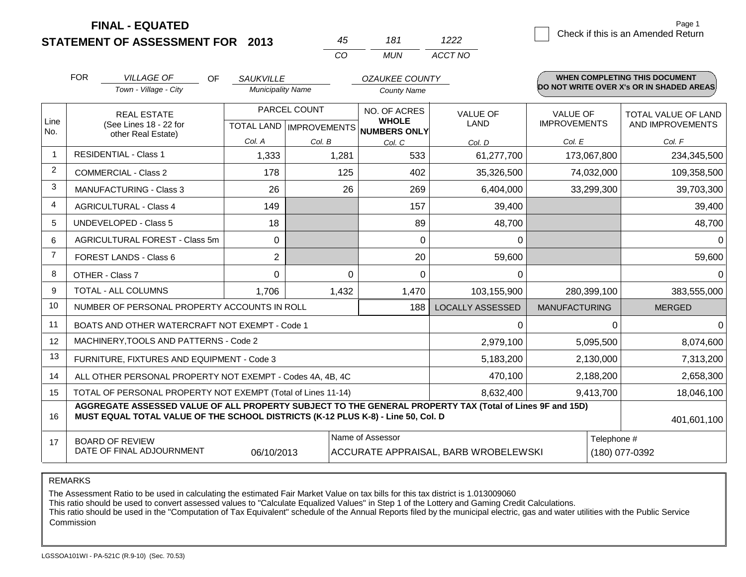**STATEMENT OF ASSESSMENT FOR 2013 FINAL - EQUATED**

1222 **Check if this is an Amended Return** Page 1

|                |                                                                                                                                                                                              |                          | CO           | <b>MUN</b>                                                                                | ACCT NO                 |                      |                                          |
|----------------|----------------------------------------------------------------------------------------------------------------------------------------------------------------------------------------------|--------------------------|--------------|-------------------------------------------------------------------------------------------|-------------------------|----------------------|------------------------------------------|
|                | <b>FOR</b><br><b>VILLAGE OF</b><br>OF.                                                                                                                                                       | <b>SAUKVILLE</b>         |              | <b>OZAUKEE COUNTY</b>                                                                     |                         |                      | <b>WHEN COMPLETING THIS DOCUMENT</b>     |
|                | Town - Village - City                                                                                                                                                                        | <b>Municipality Name</b> |              | <b>County Name</b>                                                                        |                         |                      | DO NOT WRITE OVER X's OR IN SHADED AREAS |
|                | <b>REAL ESTATE</b>                                                                                                                                                                           |                          | PARCEL COUNT |                                                                                           | <b>VALUE OF</b>         | <b>VALUE OF</b>      | TOTAL VALUE OF LAND                      |
| Line<br>No.    | (See Lines 18 - 22 for                                                                                                                                                                       | <b>TOTAL LAND</b>        | IMPROVEMENTS | <b>WHOLE</b><br>NUMBERS ONLY                                                              | <b>LAND</b>             | <b>IMPROVEMENTS</b>  | AND IMPROVEMENTS                         |
|                | other Real Estate)                                                                                                                                                                           | Col. A                   | Col. B       | Col. C                                                                                    | Col. D                  | Col. E               | Col. F                                   |
| $\mathbf{1}$   | <b>RESIDENTIAL - Class 1</b>                                                                                                                                                                 | 1,333                    | 1,281        | 533                                                                                       | 61,277,700              | 173,067,800          | 234,345,500                              |
| $\overline{2}$ | <b>COMMERCIAL - Class 2</b>                                                                                                                                                                  | 178                      | 125          | 402                                                                                       | 35,326,500              | 74,032,000           | 109,358,500                              |
| 3              | <b>MANUFACTURING - Class 3</b>                                                                                                                                                               | 26                       |              | 26<br>269                                                                                 | 6,404,000               | 33,299,300           | 39,703,300                               |
| 4              | <b>AGRICULTURAL - Class 4</b>                                                                                                                                                                | 149                      |              | 157                                                                                       | 39,400                  |                      | 39,400                                   |
| 5              | <b>UNDEVELOPED - Class 5</b>                                                                                                                                                                 | 18                       |              | 89                                                                                        | 48,700                  |                      | 48,700                                   |
| 6              | AGRICULTURAL FOREST - Class 5m                                                                                                                                                               | $\Omega$                 |              | $\Omega$                                                                                  | 0                       |                      | $\Omega$                                 |
| $\overline{7}$ | FOREST LANDS - Class 6                                                                                                                                                                       | $\overline{2}$           |              | 20                                                                                        | 59,600                  |                      | 59,600                                   |
| 8              | OTHER - Class 7                                                                                                                                                                              | 0                        |              | 0<br>$\mathbf 0$                                                                          | 0                       |                      | $\Omega$                                 |
| 9              | TOTAL - ALL COLUMNS                                                                                                                                                                          | 1,706                    | 1,432        | 1,470                                                                                     | 103,155,900             | 280,399,100          | 383,555,000                              |
| 10             | NUMBER OF PERSONAL PROPERTY ACCOUNTS IN ROLL                                                                                                                                                 |                          |              | 188                                                                                       | <b>LOCALLY ASSESSED</b> | <b>MANUFACTURING</b> | <b>MERGED</b>                            |
| 11             | BOATS AND OTHER WATERCRAFT NOT EXEMPT - Code 1                                                                                                                                               |                          |              |                                                                                           | 0                       |                      | 0<br>0                                   |
| 12             | MACHINERY, TOOLS AND PATTERNS - Code 2                                                                                                                                                       |                          |              |                                                                                           | 2,979,100               | 5,095,500            | 8,074,600                                |
| 13             | FURNITURE, FIXTURES AND EQUIPMENT - Code 3                                                                                                                                                   |                          |              |                                                                                           | 5,183,200               | 2,130,000            | 7,313,200                                |
| 14             | ALL OTHER PERSONAL PROPERTY NOT EXEMPT - Codes 4A, 4B, 4C                                                                                                                                    |                          |              |                                                                                           | 470,100                 | 2,188,200            | 2,658,300                                |
| 15             | TOTAL OF PERSONAL PROPERTY NOT EXEMPT (Total of Lines 11-14)                                                                                                                                 |                          |              |                                                                                           | 8,632,400               | 9,413,700            | 18,046,100                               |
| 16             | AGGREGATE ASSESSED VALUE OF ALL PROPERTY SUBJECT TO THE GENERAL PROPERTY TAX (Total of Lines 9F and 15D)<br>MUST EQUAL TOTAL VALUE OF THE SCHOOL DISTRICTS (K-12 PLUS K-8) - Line 50, Col. D |                          |              |                                                                                           |                         |                      | 401,601,100                              |
|                |                                                                                                                                                                                              |                          |              |                                                                                           |                         |                      |                                          |
| 17             | <b>BOARD OF REVIEW</b><br>DATE OF FINAL ADJOURNMENT                                                                                                                                          | 06/10/2013               |              | Name of Assessor<br>Telephone #<br>ACCURATE APPRAISAL, BARB WROBELEWSKI<br>(180) 077-0392 |                         |                      |                                          |

*45 181*

REMARKS

The Assessment Ratio to be used in calculating the estimated Fair Market Value on tax bills for this tax district is 1.013009060

This ratio should be used to convert assessed values to "Calculate Equalized Values" in Step 1 of the Lottery and Gaming Credit Calculations.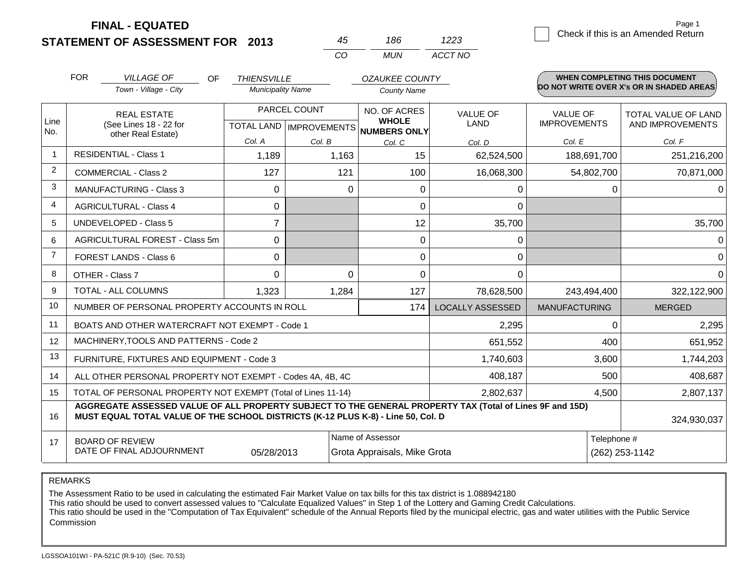| STATEMENT OF ASSESSMENT FOR 2013 |  |
|----------------------------------|--|

|                | <b>FOR</b> | <b>VILLAGE OF</b><br>OF.<br>Town - Village - City                                                                                                                                            | <b>THIENSVILLE</b><br><b>Municipality Name</b> |                           | <b>OZAUKEE COUNTY</b><br>County Name |                         |                      | <b>WHEN COMPLETING THIS DOCUMENT</b><br>DO NOT WRITE OVER X's OR IN SHADED AREAS |  |
|----------------|------------|----------------------------------------------------------------------------------------------------------------------------------------------------------------------------------------------|------------------------------------------------|---------------------------|--------------------------------------|-------------------------|----------------------|----------------------------------------------------------------------------------|--|
| Line           |            | <b>REAL ESTATE</b>                                                                                                                                                                           |                                                | PARCEL COUNT              | NO. OF ACRES<br><b>WHOLE</b>         | <b>VALUE OF</b>         | <b>VALUE OF</b>      | <b>TOTAL VALUE OF LAND</b>                                                       |  |
| No.            |            | (See Lines 18 - 22 for<br>other Real Estate)                                                                                                                                                 |                                                | TOTAL LAND   IMPROVEMENTS | <b>NUMBERS ONLY</b>                  | LAND                    | <b>IMPROVEMENTS</b>  | AND IMPROVEMENTS                                                                 |  |
|                |            |                                                                                                                                                                                              | Col. A                                         | Col. B                    | Col. C                               | Col. D                  | Col. E               | Col. F                                                                           |  |
| $\overline{1}$ |            | <b>RESIDENTIAL - Class 1</b>                                                                                                                                                                 | 1,189                                          | 1,163                     | 15                                   | 62,524,500              | 188,691,700          | 251,216,200                                                                      |  |
| 2              |            | <b>COMMERCIAL - Class 2</b>                                                                                                                                                                  | 127                                            | 121                       | 100                                  | 16,068,300              | 54,802,700           | 70,871,000                                                                       |  |
| 3              |            | <b>MANUFACTURING - Class 3</b>                                                                                                                                                               | $\Omega$                                       |                           | 0<br>0                               | 0                       | 0                    | 0                                                                                |  |
| 4              |            | <b>AGRICULTURAL - Class 4</b>                                                                                                                                                                | $\Omega$                                       |                           | $\Omega$                             | $\Omega$                |                      |                                                                                  |  |
| 5              |            | <b>UNDEVELOPED - Class 5</b>                                                                                                                                                                 | $\overline{7}$                                 |                           | 12                                   | 35,700                  |                      | 35,700                                                                           |  |
| 6              |            | AGRICULTURAL FOREST - Class 5m                                                                                                                                                               | 0                                              |                           | 0                                    | 0                       |                      |                                                                                  |  |
| $\overline{7}$ |            | <b>FOREST LANDS - Class 6</b>                                                                                                                                                                | $\Omega$                                       |                           | 0                                    | 0                       |                      | 0                                                                                |  |
| 8              |            | OTHER - Class 7                                                                                                                                                                              | $\Omega$                                       |                           | $\Omega$<br>$\Omega$                 | $\Omega$                |                      |                                                                                  |  |
| 9              |            | TOTAL - ALL COLUMNS                                                                                                                                                                          | 1,323                                          | 1,284                     | 127                                  | 78,628,500              | 243,494,400          | 322,122,900                                                                      |  |
| 10             |            | NUMBER OF PERSONAL PROPERTY ACCOUNTS IN ROLL                                                                                                                                                 |                                                |                           | 174                                  | <b>LOCALLY ASSESSED</b> | <b>MANUFACTURING</b> | <b>MERGED</b>                                                                    |  |
| 11             |            | BOATS AND OTHER WATERCRAFT NOT EXEMPT - Code 1                                                                                                                                               |                                                |                           |                                      | 2,295                   | $\Omega$             | 2,295                                                                            |  |
| 12             |            | MACHINERY, TOOLS AND PATTERNS - Code 2                                                                                                                                                       |                                                |                           |                                      | 651,552                 | 400                  | 651,952                                                                          |  |
| 13             |            | FURNITURE, FIXTURES AND EQUIPMENT - Code 3                                                                                                                                                   |                                                |                           |                                      | 1,740,603               | 3,600                | 1,744,203                                                                        |  |
| 14             |            | ALL OTHER PERSONAL PROPERTY NOT EXEMPT - Codes 4A, 4B, 4C                                                                                                                                    |                                                |                           |                                      | 408,187                 | 500                  | 408,687                                                                          |  |
| 15             |            | TOTAL OF PERSONAL PROPERTY NOT EXEMPT (Total of Lines 11-14)                                                                                                                                 |                                                |                           |                                      | 2,802,637               | 4,500                | 2,807,137                                                                        |  |
| 16             |            | AGGREGATE ASSESSED VALUE OF ALL PROPERTY SUBJECT TO THE GENERAL PROPERTY TAX (Total of Lines 9F and 15D)<br>MUST EQUAL TOTAL VALUE OF THE SCHOOL DISTRICTS (K-12 PLUS K-8) - Line 50, Col. D |                                                |                           |                                      |                         |                      | 324,930,037                                                                      |  |
| 17             |            | <b>BOARD OF REVIEW</b>                                                                                                                                                                       |                                                |                           | Name of Assessor                     |                         | Telephone #          |                                                                                  |  |
|                |            | DATE OF FINAL ADJOURNMENT                                                                                                                                                                    | 05/28/2013                                     |                           | Grota Appraisals, Mike Grota         |                         | (262) 253-1142       |                                                                                  |  |

*CO MUN*

*ACCT NO*

*45 186*

REMARKS

The Assessment Ratio to be used in calculating the estimated Fair Market Value on tax bills for this tax district is 1.088942180

This ratio should be used to convert assessed values to "Calculate Equalized Values" in Step 1 of the Lottery and Gaming Credit Calculations.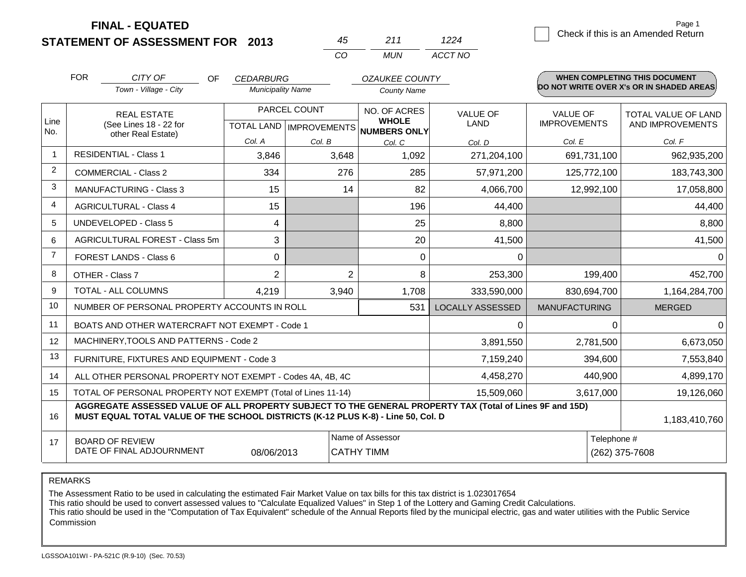**STATEMENT OF ASSESSMENT FOR 2013 FINAL - EQUATED**

1224 Check if this is an Amended Return

*ACCT NO*

Page 1

|             | <b>FOR</b><br>CITY OF<br>OF.                                                                                                                                                                 | <b>CEDARBURG</b>         |                | <b>OZAUKEE COUNTY</b>                               |                         |                      | <b>WHEN COMPLETING THIS DOCUMENT</b><br>DO NOT WRITE OVER X's OR IN SHADED AREAS |
|-------------|----------------------------------------------------------------------------------------------------------------------------------------------------------------------------------------------|--------------------------|----------------|-----------------------------------------------------|-------------------------|----------------------|----------------------------------------------------------------------------------|
|             | Town - Village - City                                                                                                                                                                        | <b>Municipality Name</b> |                | <b>County Name</b>                                  |                         |                      |                                                                                  |
|             | <b>REAL ESTATE</b>                                                                                                                                                                           |                          | PARCEL COUNT   | <b>NO. OF ACRES</b>                                 | <b>VALUE OF</b>         | <b>VALUE OF</b>      | TOTAL VALUE OF LAND                                                              |
| Line<br>No. | (See Lines 18 - 22 for<br>other Real Estate)                                                                                                                                                 |                          |                | <b>WHOLE</b><br>TOTAL LAND MPROVEMENTS NUMBERS ONLY | <b>LAND</b>             | <b>IMPROVEMENTS</b>  | AND IMPROVEMENTS                                                                 |
|             |                                                                                                                                                                                              | Col. A                   | Col. B         | Col. C                                              | Col. D                  | Col. E               | Col. F                                                                           |
| $\mathbf 1$ | <b>RESIDENTIAL - Class 1</b>                                                                                                                                                                 | 3,846                    | 3,648          | 1,092                                               | 271,204,100             | 691,731,100          | 962,935,200                                                                      |
| 2           | <b>COMMERCIAL - Class 2</b>                                                                                                                                                                  | 334                      | 276            | 285                                                 | 57,971,200              | 125,772,100          | 183,743,300                                                                      |
| 3           | <b>MANUFACTURING - Class 3</b>                                                                                                                                                               | 15                       | 14             | 82                                                  | 4,066,700               | 12,992,100           | 17,058,800                                                                       |
| 4           | <b>AGRICULTURAL - Class 4</b>                                                                                                                                                                | 15                       |                | 196                                                 | 44,400                  |                      | 44,400                                                                           |
| 5           | <b>UNDEVELOPED - Class 5</b>                                                                                                                                                                 | 4                        |                | 25                                                  | 8,800                   |                      | 8,800                                                                            |
| 6           | AGRICULTURAL FOREST - Class 5m                                                                                                                                                               | 3                        |                | 20                                                  | 41,500                  |                      | 41,500                                                                           |
| 7           | FOREST LANDS - Class 6                                                                                                                                                                       | $\Omega$                 |                | $\Omega$                                            | $\Omega$                |                      | 0                                                                                |
| 8           | OTHER - Class 7                                                                                                                                                                              | $\overline{2}$           | $\overline{2}$ | 8                                                   | 253,300                 | 199,400              | 452,700                                                                          |
| 9           | TOTAL - ALL COLUMNS                                                                                                                                                                          | 4,219                    | 3,940          | 1,708                                               | 333,590,000             | 830,694,700          | 1,164,284,700                                                                    |
| 10          | NUMBER OF PERSONAL PROPERTY ACCOUNTS IN ROLL                                                                                                                                                 |                          |                | 531                                                 | <b>LOCALLY ASSESSED</b> | <b>MANUFACTURING</b> | <b>MERGED</b>                                                                    |
| 11          | BOATS AND OTHER WATERCRAFT NOT EXEMPT - Code 1                                                                                                                                               |                          | 0              | $\Omega$                                            | $\Omega$                |                      |                                                                                  |
| 12          | MACHINERY, TOOLS AND PATTERNS - Code 2                                                                                                                                                       |                          | 3,891,550      | 2,781,500                                           | 6,673,050               |                      |                                                                                  |
| 13          | FURNITURE, FIXTURES AND EQUIPMENT - Code 3                                                                                                                                                   |                          | 7,159,240      | 394,600                                             | 7,553,840               |                      |                                                                                  |
| 14          | ALL OTHER PERSONAL PROPERTY NOT EXEMPT - Codes 4A, 4B, 4C                                                                                                                                    |                          | 4,458,270      | 440,900                                             | 4,899,170               |                      |                                                                                  |
| 15          | TOTAL OF PERSONAL PROPERTY NOT EXEMPT (Total of Lines 11-14)                                                                                                                                 |                          | 15,509,060     | 3,617,000                                           | 19,126,060              |                      |                                                                                  |
| 16          | AGGREGATE ASSESSED VALUE OF ALL PROPERTY SUBJECT TO THE GENERAL PROPERTY TAX (Total of Lines 9F and 15D)<br>MUST EQUAL TOTAL VALUE OF THE SCHOOL DISTRICTS (K-12 PLUS K-8) - Line 50, Col. D |                          |                |                                                     |                         |                      | 1,183,410,760                                                                    |
| 17          | <b>BOARD OF REVIEW</b>                                                                                                                                                                       |                          |                | Name of Assessor                                    |                         | Telephone #          |                                                                                  |
|             | DATE OF FINAL ADJOURNMENT                                                                                                                                                                    | 08/06/2013               |                | <b>CATHY TIMM</b>                                   |                         |                      | (262) 375-7608                                                                   |

*CO MUN*

*45 211*

REMARKS

The Assessment Ratio to be used in calculating the estimated Fair Market Value on tax bills for this tax district is 1.023017654

This ratio should be used to convert assessed values to "Calculate Equalized Values" in Step 1 of the Lottery and Gaming Credit Calculations.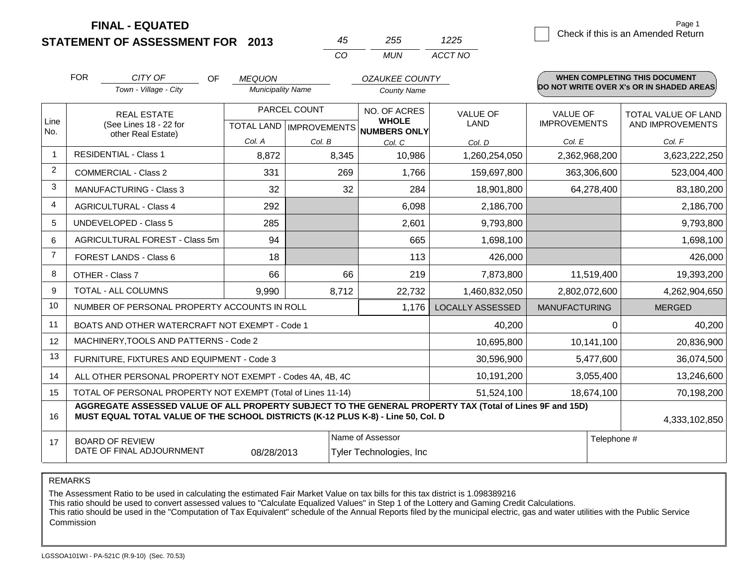**STATEMENT OF ASSESSMENT FOR 2013**

*CO MUN 45 255 ACCT NO*

1225 **Check if this is an Amended Return** Page 1

|                | <b>FOR</b>                                                                                                                                                                                   | CITY OF<br>OF<br>Town - Village - City         | <b>MEQUON</b><br><b>Municipality Name</b> |        | <b>OZAUKEE COUNTY</b><br>County Name |                                |                                        | <b>WHEN COMPLETING THIS DOCUMENT</b><br>DO NOT WRITE OVER X's OR IN SHADED AREAS. |
|----------------|----------------------------------------------------------------------------------------------------------------------------------------------------------------------------------------------|------------------------------------------------|-------------------------------------------|--------|--------------------------------------|--------------------------------|----------------------------------------|-----------------------------------------------------------------------------------|
| Line           |                                                                                                                                                                                              | <b>REAL ESTATE</b><br>(See Lines 18 - 22 for   | PARCEL COUNT<br>TOTAL LAND   IMPROVEMENTS |        | NO. OF ACRES<br><b>WHOLE</b>         | <b>VALUE OF</b><br><b>LAND</b> | <b>VALUE OF</b><br><b>IMPROVEMENTS</b> | TOTAL VALUE OF LAND<br>AND IMPROVEMENTS                                           |
| No.            |                                                                                                                                                                                              | other Real Estate)                             | Col. A                                    | Col. B | NUMBERS ONLY<br>Col. C               | Col. D                         | Col. E                                 | Col. F                                                                            |
| $\mathbf 1$    |                                                                                                                                                                                              | <b>RESIDENTIAL - Class 1</b>                   | 8,872                                     | 8,345  | 10,986                               | 1,260,254,050                  | 2,362,968,200                          | 3,623,222,250                                                                     |
| 2              |                                                                                                                                                                                              | <b>COMMERCIAL - Class 2</b>                    | 331                                       | 269    | 1,766                                | 159,697,800                    | 363,306,600                            | 523,004,400                                                                       |
| 3              |                                                                                                                                                                                              | MANUFACTURING - Class 3                        | 32                                        | 32     | 284                                  | 18,901,800                     | 64,278,400                             | 83,180,200                                                                        |
| 4              |                                                                                                                                                                                              | <b>AGRICULTURAL - Class 4</b>                  | 292                                       |        | 6,098                                | 2,186,700                      |                                        | 2,186,700                                                                         |
| 5              |                                                                                                                                                                                              | UNDEVELOPED - Class 5                          | 285                                       |        | 2,601                                | 9,793,800                      |                                        | 9,793,800                                                                         |
| 6              |                                                                                                                                                                                              | AGRICULTURAL FOREST - Class 5m                 | 94                                        |        | 665                                  | 1,698,100                      |                                        | 1,698,100                                                                         |
| $\overline{7}$ |                                                                                                                                                                                              | FOREST LANDS - Class 6                         | 18                                        |        | 113                                  | 426,000                        |                                        | 426,000                                                                           |
| 8              |                                                                                                                                                                                              | OTHER - Class 7                                | 66                                        | 66     | 219                                  | 7,873,800                      | 11,519,400                             | 19,393,200                                                                        |
| 9              |                                                                                                                                                                                              | TOTAL - ALL COLUMNS                            | 9,990                                     | 8,712  | 22,732                               | 1,460,832,050                  | 2,802,072,600                          | 4,262,904,650                                                                     |
| 10             | NUMBER OF PERSONAL PROPERTY ACCOUNTS IN ROLL<br>1,176                                                                                                                                        |                                                |                                           |        |                                      | <b>LOCALLY ASSESSED</b>        | <b>MANUFACTURING</b>                   | <b>MERGED</b>                                                                     |
| 11             |                                                                                                                                                                                              | BOATS AND OTHER WATERCRAFT NOT EXEMPT - Code 1 |                                           |        |                                      | 40,200                         | $\Omega$                               | 40,200                                                                            |
| 12             |                                                                                                                                                                                              | MACHINERY, TOOLS AND PATTERNS - Code 2         |                                           |        |                                      | 10,695,800                     | 10,141,100                             | 20,836,900                                                                        |
| 13             | FURNITURE, FIXTURES AND EQUIPMENT - Code 3                                                                                                                                                   |                                                |                                           |        |                                      | 30,596,900                     | 5,477,600                              | 36,074,500                                                                        |
| 14             | ALL OTHER PERSONAL PROPERTY NOT EXEMPT - Codes 4A, 4B, 4C                                                                                                                                    |                                                |                                           |        |                                      | 10,191,200                     | 3,055,400                              | 13,246,600                                                                        |
| 15             | TOTAL OF PERSONAL PROPERTY NOT EXEMPT (Total of Lines 11-14)                                                                                                                                 |                                                |                                           |        |                                      | 51,524,100                     | 18,674,100                             | 70,198,200                                                                        |
| 16             | AGGREGATE ASSESSED VALUE OF ALL PROPERTY SUBJECT TO THE GENERAL PROPERTY TAX (Total of Lines 9F and 15D)<br>MUST EQUAL TOTAL VALUE OF THE SCHOOL DISTRICTS (K-12 PLUS K-8) - Line 50, Col. D |                                                |                                           |        |                                      |                                | 4,333,102,850                          |                                                                                   |
| 17             | Name of Assessor<br>Telephone #<br><b>BOARD OF REVIEW</b><br>DATE OF FINAL ADJOURNMENT<br>08/28/2013<br>Tyler Technologies, Inc.                                                             |                                                |                                           |        |                                      |                                |                                        |                                                                                   |

REMARKS

The Assessment Ratio to be used in calculating the estimated Fair Market Value on tax bills for this tax district is 1.098389216

This ratio should be used to convert assessed values to "Calculate Equalized Values" in Step 1 of the Lottery and Gaming Credit Calculations.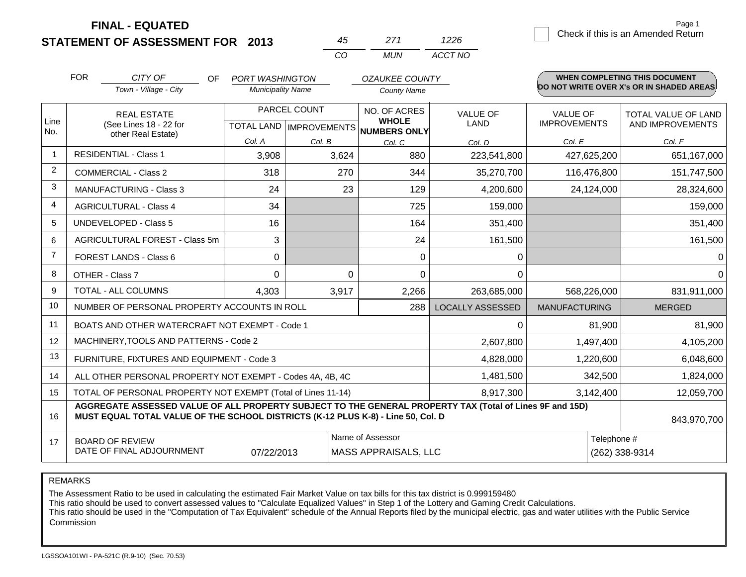| STATEMENT OF ASSESSMENT FOR 2013 |  |
|----------------------------------|--|
|                                  |  |

|                | <b>FOR</b>                                                                                                                                                                                   | CITY OF<br>OF<br>Town - Village - City         | <b>PORT WASHINGTON</b><br><b>Municipality Name</b> |                           | <b>OZAUKEE COUNTY</b><br><b>County Name</b> |                                |                                        | <b>WHEN COMPLETING THIS DOCUMENT</b><br>DO NOT WRITE OVER X's OR IN SHADED AREAS. |
|----------------|----------------------------------------------------------------------------------------------------------------------------------------------------------------------------------------------|------------------------------------------------|----------------------------------------------------|---------------------------|---------------------------------------------|--------------------------------|----------------------------------------|-----------------------------------------------------------------------------------|
| Line           |                                                                                                                                                                                              | <b>REAL ESTATE</b><br>(See Lines 18 - 22 for   |                                                    | PARCEL COUNT              | <b>NO. OF ACRES</b><br><b>WHOLE</b>         | <b>VALUE OF</b><br><b>LAND</b> | <b>VALUE OF</b><br><b>IMPROVEMENTS</b> | <b>TOTAL VALUE OF LAND</b><br>AND IMPROVEMENTS                                    |
| No.            |                                                                                                                                                                                              | other Real Estate)                             |                                                    | TOTAL LAND   IMPROVEMENTS | <b>NUMBERS ONLY</b>                         |                                |                                        |                                                                                   |
|                |                                                                                                                                                                                              |                                                | Col. A                                             | Col. B                    | Col. C                                      | Col. D                         | Col. E                                 | Col. F                                                                            |
| -1             |                                                                                                                                                                                              | <b>RESIDENTIAL - Class 1</b>                   | 3,908                                              | 3,624                     | 880                                         | 223,541,800                    | 427,625,200                            | 651,167,000                                                                       |
| 2              |                                                                                                                                                                                              | <b>COMMERCIAL - Class 2</b>                    | 318                                                | 270                       | 344                                         | 35,270,700                     | 116,476,800                            | 151,747,500                                                                       |
| 3              |                                                                                                                                                                                              | <b>MANUFACTURING - Class 3</b>                 | 24                                                 | 23                        | 129                                         | 4,200,600                      | 24,124,000                             | 28,324,600                                                                        |
| $\overline{4}$ |                                                                                                                                                                                              | <b>AGRICULTURAL - Class 4</b>                  | 34                                                 |                           | 725                                         | 159,000                        |                                        | 159,000                                                                           |
| 5              |                                                                                                                                                                                              | <b>UNDEVELOPED - Class 5</b>                   | 16                                                 |                           | 164                                         | 351,400                        |                                        | 351,400                                                                           |
| 6              |                                                                                                                                                                                              | AGRICULTURAL FOREST - Class 5m                 | 3                                                  |                           | 24                                          | 161,500                        |                                        | 161,500                                                                           |
| $\overline{7}$ |                                                                                                                                                                                              | FOREST LANDS - Class 6                         | $\Omega$                                           |                           | 0                                           | 0                              |                                        | 0                                                                                 |
| 8              |                                                                                                                                                                                              | OTHER - Class 7                                | $\Omega$                                           | $\Omega$                  | $\Omega$                                    | $\Omega$                       |                                        | $\Omega$                                                                          |
| 9              |                                                                                                                                                                                              | TOTAL - ALL COLUMNS                            | 4,303                                              | 3,917                     | 2,266                                       | 263,685,000                    | 568,226,000                            | 831,911,000                                                                       |
| 10             |                                                                                                                                                                                              | NUMBER OF PERSONAL PROPERTY ACCOUNTS IN ROLL   |                                                    |                           | 288                                         | <b>LOCALLY ASSESSED</b>        | <b>MANUFACTURING</b>                   | <b>MERGED</b>                                                                     |
| 11             |                                                                                                                                                                                              | BOATS AND OTHER WATERCRAFT NOT EXEMPT - Code 1 |                                                    |                           |                                             | 0                              | 81,900                                 | 81,900                                                                            |
| 12             |                                                                                                                                                                                              | MACHINERY, TOOLS AND PATTERNS - Code 2         |                                                    |                           |                                             | 2,607,800                      | 1,497,400                              | 4,105,200                                                                         |
| 13             | FURNITURE, FIXTURES AND EQUIPMENT - Code 3                                                                                                                                                   |                                                |                                                    |                           |                                             | 4,828,000                      | 1,220,600                              | 6,048,600                                                                         |
| 14             | ALL OTHER PERSONAL PROPERTY NOT EXEMPT - Codes 4A, 4B, 4C                                                                                                                                    |                                                |                                                    |                           |                                             | 1,481,500                      | 342,500                                | 1,824,000                                                                         |
| 15             | TOTAL OF PERSONAL PROPERTY NOT EXEMPT (Total of Lines 11-14)                                                                                                                                 |                                                |                                                    |                           | 8,917,300                                   | 3,142,400                      | 12,059,700                             |                                                                                   |
| 16             | AGGREGATE ASSESSED VALUE OF ALL PROPERTY SUBJECT TO THE GENERAL PROPERTY TAX (Total of Lines 9F and 15D)<br>MUST EQUAL TOTAL VALUE OF THE SCHOOL DISTRICTS (K-12 PLUS K-8) - Line 50, Col. D |                                                |                                                    |                           |                                             |                                | 843,970,700                            |                                                                                   |
| 17             |                                                                                                                                                                                              | <b>BOARD OF REVIEW</b>                         |                                                    |                           | Name of Assessor                            |                                | Telephone #                            |                                                                                   |
|                | DATE OF FINAL ADJOURNMENT<br>07/22/2013<br><b>MASS APPRAISALS, LLC</b>                                                                                                                       |                                                |                                                    |                           |                                             | (262) 338-9314                 |                                        |                                                                                   |

*CO MUN*

*ACCT NO*

*45 271*

REMARKS

The Assessment Ratio to be used in calculating the estimated Fair Market Value on tax bills for this tax district is 0.999159480

This ratio should be used to convert assessed values to "Calculate Equalized Values" in Step 1 of the Lottery and Gaming Credit Calculations.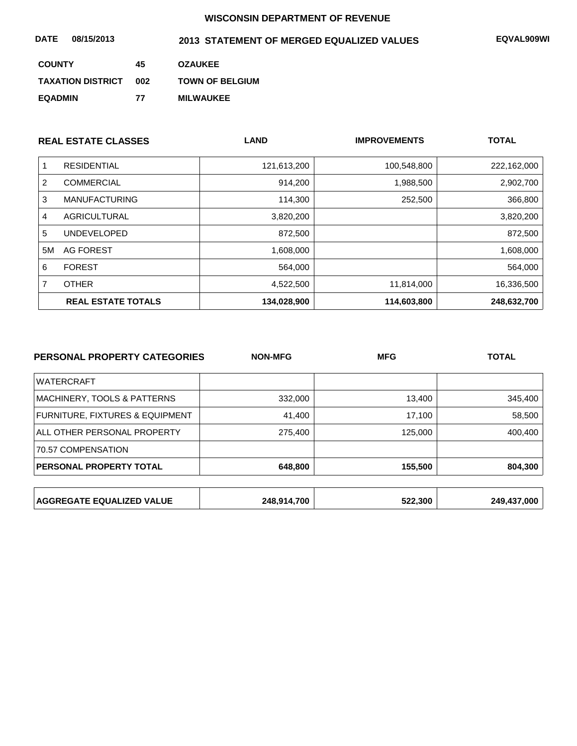| 08/15/2013<br><b>DATE</b> |     | 2013 STATEMENT OF MERGED EQUALIZED VALUES | EQVAL909WI |
|---------------------------|-----|-------------------------------------------|------------|
| <b>COUNTY</b>             | 45  | <b>OZAUKEE</b>                            |            |
| <b>TAXATION DISTRICT</b>  | 002 | <b>TOWN OF BELGIUM</b>                    |            |
| <b>EQADMIN</b>            | 77  | <b>MILWAUKEE</b>                          |            |

|    | <b>REAL ESTATE CLASSES</b> | <b>LAND</b> | <b>IMPROVEMENTS</b> | <b>TOTAL</b> |
|----|----------------------------|-------------|---------------------|--------------|
|    | <b>RESIDENTIAL</b>         | 121,613,200 | 100,548,800         | 222,162,000  |
| 2  | <b>COMMERCIAL</b>          | 914,200     | 1,988,500           | 2,902,700    |
| 3  | <b>MANUFACTURING</b>       | 114,300     | 252,500             | 366,800      |
| 4  | AGRICULTURAL               | 3,820,200   |                     | 3,820,200    |
| 5  | <b>UNDEVELOPED</b>         | 872,500     |                     | 872,500      |
| 5M | AG FOREST                  | 1,608,000   |                     | 1,608,000    |
| 6  | <b>FOREST</b>              | 564,000     |                     | 564,000      |
|    | <b>OTHER</b>               | 4,522,500   | 11,814,000          | 16,336,500   |
|    | <b>REAL ESTATE TOTALS</b>  | 134,028,900 | 114,603,800         | 248,632,700  |

| PERSONAL PROPERTY CATEGORIES     | <b>NON-MFG</b> | <b>MFG</b> | <b>TOTAL</b> |
|----------------------------------|----------------|------------|--------------|
| <b>WATERCRAFT</b>                |                |            |              |
| MACHINERY, TOOLS & PATTERNS      | 332,000        | 13,400     | 345,400      |
| FURNITURE, FIXTURES & EQUIPMENT  | 41,400         | 17,100     | 58,500       |
| ALL OTHER PERSONAL PROPERTY      | 275,400        | 125,000    | 400,400      |
| 70.57 COMPENSATION               |                |            |              |
| PERSONAL PROPERTY TOTAL          | 648,800        | 155,500    | 804,300      |
|                                  |                |            |              |
| <b>AGGREGATE EQUALIZED VALUE</b> | 248,914,700    | 522,300    | 249,437,000  |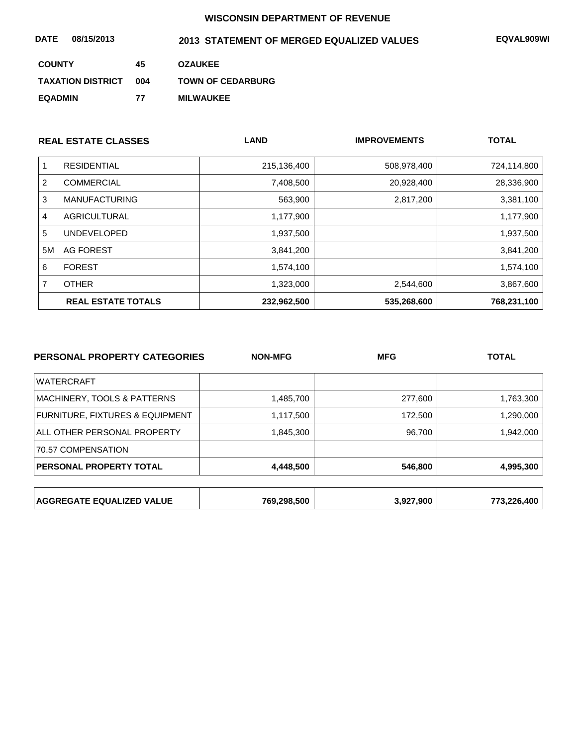| 08/15/2013<br>DATE       |     | 2013 STATEMENT OF MERGED EQUALIZED VALUES | EQVAL909WI |
|--------------------------|-----|-------------------------------------------|------------|
| <b>COUNTY</b>            | 45  | <b>OZAUKEE</b>                            |            |
| <b>TAXATION DISTRICT</b> | 004 | <b>TOWN OF CEDARBURG</b>                  |            |
| <b>EQADMIN</b>           | 77  | <b>MILWAUKEE</b>                          |            |

|    | <b>REAL ESTATE CLASSES</b> | <b>LAND</b> | <b>IMPROVEMENTS</b> | <b>TOTAL</b> |
|----|----------------------------|-------------|---------------------|--------------|
|    | <b>RESIDENTIAL</b>         | 215,136,400 | 508,978,400         | 724,114,800  |
| 2  | <b>COMMERCIAL</b>          | 7,408,500   | 20,928,400          | 28,336,900   |
| 3  | <b>MANUFACTURING</b>       | 563,900     | 2,817,200           | 3,381,100    |
| 4  | AGRICULTURAL               | 1,177,900   |                     | 1,177,900    |
| 5  | <b>UNDEVELOPED</b>         | 1,937,500   |                     | 1,937,500    |
| 5M | AG FOREST                  | 3,841,200   |                     | 3,841,200    |
| 6  | <b>FOREST</b>              | 1,574,100   |                     | 1,574,100    |
| 7  | <b>OTHER</b>               | 1,323,000   | 2,544,600           | 3,867,600    |
|    | <b>REAL ESTATE TOTALS</b>  | 232,962,500 | 535,268,600         | 768,231,100  |

| <b>PERSONAL PROPERTY CATEGORIES</b> | <b>NON-MFG</b> | <b>MFG</b> | <b>TOTAL</b> |
|-------------------------------------|----------------|------------|--------------|
| <b>WATERCRAFT</b>                   |                |            |              |
| MACHINERY, TOOLS & PATTERNS         | 1,485,700      | 277,600    | 1,763,300    |
| FURNITURE, FIXTURES & EQUIPMENT     | 1,117,500      | 172,500    | 1,290,000    |
| ALL OTHER PERSONAL PROPERTY         | 1,845,300      | 96,700     | 1,942,000    |
| 70.57 COMPENSATION                  |                |            |              |
| <b>PERSONAL PROPERTY TOTAL</b>      | 4,448,500      | 546,800    | 4,995,300    |
|                                     |                |            |              |
| <b>AGGREGATE EQUALIZED VALUE</b>    | 769,298,500    | 3,927,900  | 773,226,400  |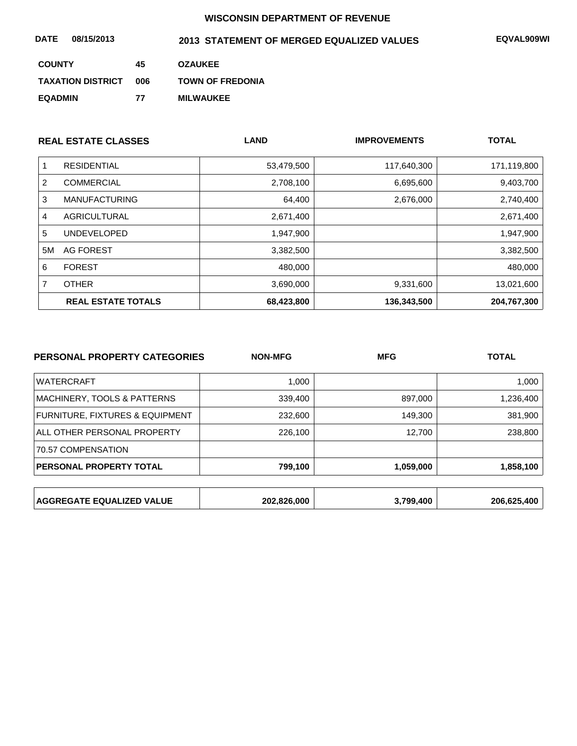| 08/15/2013<br><b>DATE</b> |     | 2013 STATEMENT OF MERGED EQUALIZED VALUES | EQVAL909WI |
|---------------------------|-----|-------------------------------------------|------------|
| <b>COUNTY</b>             | 45  | <b>OZAUKEE</b>                            |            |
| <b>TAXATION DISTRICT</b>  | 006 | <b>TOWN OF FREDONIA</b>                   |            |
| <b>EQADMIN</b>            | 77  | <b>MILWAUKEE</b>                          |            |

|    | <b>REAL ESTATE CLASSES</b> | <b>LAND</b> | <b>IMPROVEMENTS</b> | <b>TOTAL</b> |
|----|----------------------------|-------------|---------------------|--------------|
|    | <b>RESIDENTIAL</b>         | 53,479,500  | 117,640,300         | 171,119,800  |
| 2  | <b>COMMERCIAL</b>          | 2,708,100   | 6,695,600           | 9,403,700    |
| 3  | <b>MANUFACTURING</b>       | 64,400      | 2,676,000           | 2,740,400    |
| 4  | AGRICULTURAL               | 2,671,400   |                     | 2,671,400    |
| 5  | <b>UNDEVELOPED</b>         | 1,947,900   |                     | 1,947,900    |
| 5M | AG FOREST                  | 3,382,500   |                     | 3,382,500    |
| 6  | <b>FOREST</b>              | 480,000     |                     | 480,000      |
|    | <b>OTHER</b>               | 3,690,000   | 9,331,600           | 13,021,600   |
|    | <b>REAL ESTATE TOTALS</b>  | 68,423,800  | 136,343,500         | 204,767,300  |

| PERSONAL PROPERTY CATEGORIES     | <b>NON-MFG</b> | <b>MFG</b> | <b>TOTAL</b> |
|----------------------------------|----------------|------------|--------------|
| <b>WATERCRAFT</b>                | 1,000          |            | 1,000        |
| MACHINERY, TOOLS & PATTERNS      | 339,400        | 897,000    | 1,236,400    |
| FURNITURE, FIXTURES & EQUIPMENT  | 232,600        | 149,300    | 381,900      |
| ALL OTHER PERSONAL PROPERTY      | 226,100        | 12,700     | 238,800      |
| 70.57 COMPENSATION               |                |            |              |
| PERSONAL PROPERTY TOTAL          | 799,100        | 1,059,000  | 1,858,100    |
|                                  |                |            |              |
| <b>AGGREGATE EQUALIZED VALUE</b> | 202,826,000    | 3,799,400  | 206,625,400  |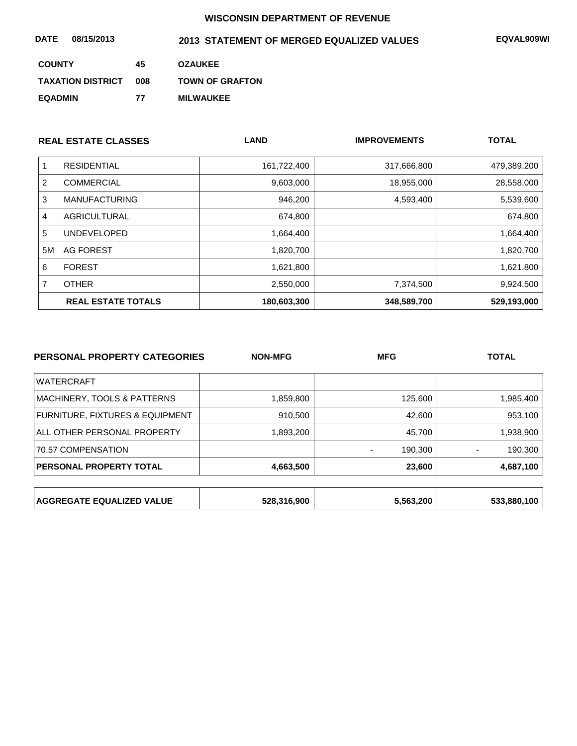| 08/15/2013<br><b>DATE</b> |     | 2013 STATEMENT OF MERGED EQUALIZED VALUES | EQVAL909WI |
|---------------------------|-----|-------------------------------------------|------------|
| <b>COUNTY</b>             | 45  | <b>OZAUKEE</b>                            |            |
| <b>TAXATION DISTRICT</b>  | 008 | <b>TOWN OF GRAFTON</b>                    |            |
| <b>EQADMIN</b>            | 77  | <b>MILWAUKEE</b>                          |            |

| <b>REAL ESTATE CLASSES</b> |                           | <b>LAND</b> | <b>IMPROVEMENTS</b> | <b>TOTAL</b> |
|----------------------------|---------------------------|-------------|---------------------|--------------|
|                            | <b>RESIDENTIAL</b>        | 161,722,400 | 317,666,800         | 479,389,200  |
| 2                          | <b>COMMERCIAL</b>         | 9,603,000   | 18,955,000          | 28,558,000   |
| 3                          | <b>MANUFACTURING</b>      | 946,200     | 4,593,400           | 5,539,600    |
| 4                          | AGRICULTURAL              | 674,800     |                     | 674,800      |
| 5                          | <b>UNDEVELOPED</b>        | 1,664,400   |                     | 1,664,400    |
| 5M                         | AG FOREST                 | 1,820,700   |                     | 1,820,700    |
| 6                          | <b>FOREST</b>             | 1,621,800   |                     | 1,621,800    |
| 7                          | <b>OTHER</b>              | 2,550,000   | 7,374,500           | 9,924,500    |
|                            | <b>REAL ESTATE TOTALS</b> | 180,603,300 | 348,589,700         | 529,193,000  |

| PERSONAL PROPERTY CATEGORIES     | <b>NON-MFG</b> | <b>MFG</b> | <b>TOTAL</b> |
|----------------------------------|----------------|------------|--------------|
| <b>WATERCRAFT</b>                |                |            |              |
| MACHINERY, TOOLS & PATTERNS      | 1,859,800      | 125,600    | 1,985,400    |
| FURNITURE, FIXTURES & EQUIPMENT  | 910,500        | 42,600     | 953,100      |
| ALL OTHER PERSONAL PROPERTY      | 1,893,200      | 45,700     | 1,938,900    |
| 70.57 COMPENSATION               |                | 190,300    | 190,300      |
| PERSONAL PROPERTY TOTAL          | 4,663,500      | 23,600     | 4,687,100    |
|                                  |                |            |              |
| <b>AGGREGATE EQUALIZED VALUE</b> | 528,316,900    | 5,563,200  | 533,880,100  |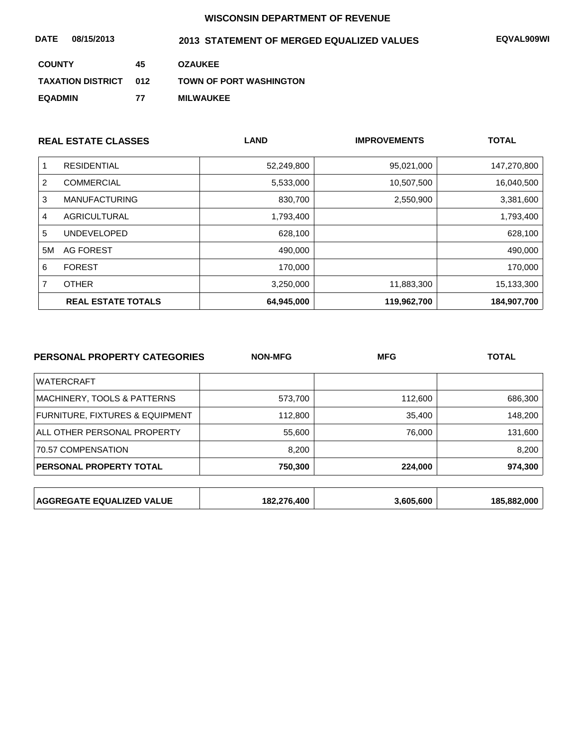| 08/15/2013<br><b>DATE</b> |     | 2013 STATEMENT OF MERGED EQUALIZED VALUES | EQVAL909WI |
|---------------------------|-----|-------------------------------------------|------------|
| <b>COUNTY</b>             | 45  | <b>OZAUKEE</b>                            |            |
| <b>TAXATION DISTRICT</b>  | 012 | <b>TOWN OF PORT WASHINGTON</b>            |            |
| <b>EQADMIN</b>            | 77  | <b>MILWAUKEE</b>                          |            |

| <b>REAL ESTATE CLASSES</b> |                           | <b>LAND</b> | <b>IMPROVEMENTS</b> | <b>TOTAL</b> |
|----------------------------|---------------------------|-------------|---------------------|--------------|
|                            | <b>RESIDENTIAL</b>        | 52,249,800  | 95,021,000          | 147,270,800  |
| 2                          | <b>COMMERCIAL</b>         | 5,533,000   | 10,507,500          | 16,040,500   |
| 3                          | <b>MANUFACTURING</b>      | 830,700     | 2,550,900           | 3,381,600    |
| 4                          | <b>AGRICULTURAL</b>       | 1,793,400   |                     | 1,793,400    |
| 5                          | <b>UNDEVELOPED</b>        | 628,100     |                     | 628,100      |
| 5M                         | AG FOREST                 | 490,000     |                     | 490,000      |
| 6                          | <b>FOREST</b>             | 170,000     |                     | 170,000      |
|                            | <b>OTHER</b>              | 3,250,000   | 11,883,300          | 15,133,300   |
|                            | <b>REAL ESTATE TOTALS</b> | 64,945,000  | 119,962,700         | 184,907,700  |

| PERSONAL PROPERTY CATEGORIES     | <b>NON-MFG</b> | <b>MFG</b> | <b>TOTAL</b> |
|----------------------------------|----------------|------------|--------------|
| <b>WATERCRAFT</b>                |                |            |              |
| MACHINERY, TOOLS & PATTERNS      | 573,700        | 112,600    | 686,300      |
| FURNITURE, FIXTURES & EQUIPMENT  | 112,800        | 35,400     | 148,200      |
| ALL OTHER PERSONAL PROPERTY      | 55,600         | 76,000     | 131,600      |
| 70.57 COMPENSATION               | 8.200          |            | 8,200        |
| PERSONAL PROPERTY TOTAL          | 750,300        | 224,000    | 974,300      |
|                                  |                |            |              |
| <b>AGGREGATE EQUALIZED VALUE</b> | 182,276,400    | 3,605,600  | 185,882,000  |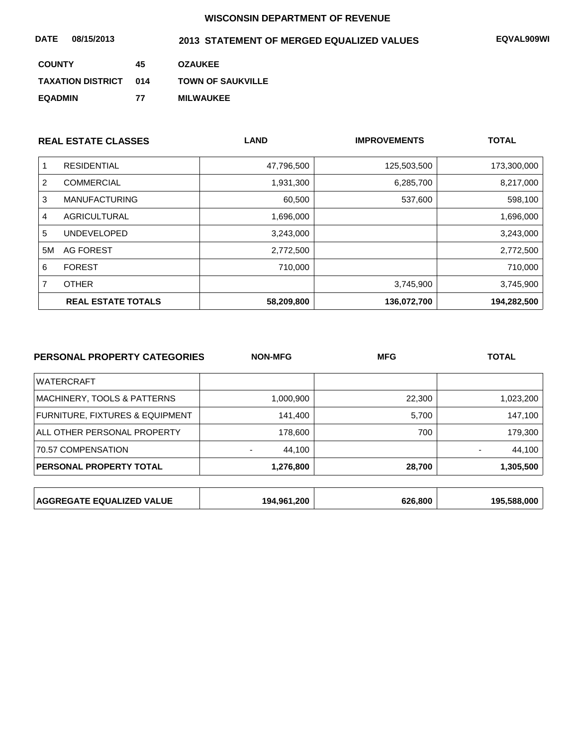| 08/15/2013<br><b>DATE</b> |     | 2013 STATEMENT OF MERGED EQUALIZED VALUES | <b>EQVAL909WI</b> |
|---------------------------|-----|-------------------------------------------|-------------------|
| <b>COUNTY</b>             | 45  | <b>OZAUKEE</b>                            |                   |
| <b>TAXATION DISTRICT</b>  | 014 | <b>TOWN OF SAUKVILLE</b>                  |                   |
| <b>EQADMIN</b>            | 77  | <b>MILWAUKEE</b>                          |                   |

| <b>REAL ESTATE CLASSES</b> |                           | <b>LAND</b> | <b>IMPROVEMENTS</b> | <b>TOTAL</b> |
|----------------------------|---------------------------|-------------|---------------------|--------------|
| 1                          | <b>RESIDENTIAL</b>        | 47,796,500  | 125,503,500         | 173,300,000  |
| 2                          | <b>COMMERCIAL</b>         | 1,931,300   | 6,285,700           | 8,217,000    |
| 3                          | <b>MANUFACTURING</b>      | 60,500      | 537,600             | 598,100      |
| 4                          | AGRICULTURAL              | 1,696,000   |                     | 1,696,000    |
| 5                          | <b>UNDEVELOPED</b>        | 3,243,000   |                     | 3,243,000    |
| 5M                         | AG FOREST                 | 2,772,500   |                     | 2,772,500    |
| 6                          | <b>FOREST</b>             | 710,000     |                     | 710,000      |
| 7                          | <b>OTHER</b>              |             | 3,745,900           | 3,745,900    |
|                            | <b>REAL ESTATE TOTALS</b> | 58,209,800  | 136.072.700         | 194,282,500  |

| PERSONAL PROPERTY CATEGORIES     | <b>NON-MFG</b> | <b>MFG</b> | <b>TOTAL</b> |
|----------------------------------|----------------|------------|--------------|
| <b>WATERCRAFT</b>                |                |            |              |
| MACHINERY, TOOLS & PATTERNS      | 1,000,900      | 22,300     | 1,023,200    |
| FURNITURE, FIXTURES & EQUIPMENT  | 141,400        | 5,700      | 147,100      |
| ALL OTHER PERSONAL PROPERTY      | 178,600        | 700        | 179,300      |
| 70.57 COMPENSATION               | 44,100         |            | 44,100       |
| <b>PERSONAL PROPERTY TOTAL</b>   | 1,276,800      | 28,700     | 1,305,500    |
|                                  |                |            |              |
| <b>AGGREGATE EQUALIZED VALUE</b> | 194,961,200    | 626,800    | 195,588,000  |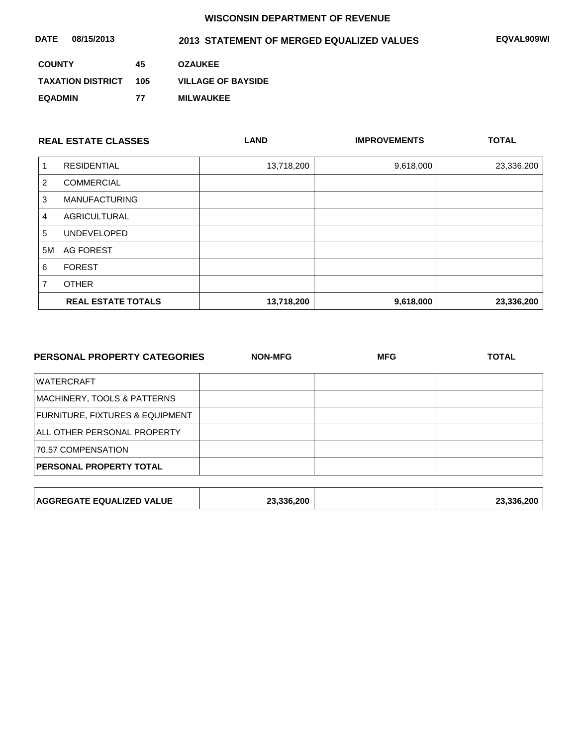| DATE<br>08/15/2013       |     | 2013 STATEMENT OF MERGED EQUALIZED VALUES | <b>EQVAL909WI</b> |
|--------------------------|-----|-------------------------------------------|-------------------|
| <b>COUNTY</b>            | 45  | <b>OZAUKEE</b>                            |                   |
| <b>TAXATION DISTRICT</b> | 105 | <b>VILLAGE OF BAYSIDE</b>                 |                   |
| <b>EQADMIN</b>           | 77  | <b>MILWAUKEE</b>                          |                   |

|    | <b>REAL ESTATE CLASSES</b> | <b>LAND</b> | <b>IMPROVEMENTS</b> | <b>TOTAL</b> |
|----|----------------------------|-------------|---------------------|--------------|
|    | <b>RESIDENTIAL</b>         | 13,718,200  | 9,618,000           | 23,336,200   |
| 2  | <b>COMMERCIAL</b>          |             |                     |              |
| 3  | <b>MANUFACTURING</b>       |             |                     |              |
| 4  | <b>AGRICULTURAL</b>        |             |                     |              |
| 5  | <b>UNDEVELOPED</b>         |             |                     |              |
| 5M | AG FOREST                  |             |                     |              |
| 6  | <b>FOREST</b>              |             |                     |              |
|    | <b>OTHER</b>               |             |                     |              |
|    | <b>REAL ESTATE TOTALS</b>  | 13,718,200  | 9,618,000           | 23,336,200   |

| <b>PERSONAL PROPERTY CATEGORIES</b> | <b>NON-MFG</b> | <b>MFG</b> | <b>TOTAL</b> |  |
|-------------------------------------|----------------|------------|--------------|--|
| <b>WATERCRAFT</b>                   |                |            |              |  |
| MACHINERY, TOOLS & PATTERNS         |                |            |              |  |
| FURNITURE, FIXTURES & EQUIPMENT     |                |            |              |  |
| ALL OTHER PERSONAL PROPERTY         |                |            |              |  |
| 70.57 COMPENSATION                  |                |            |              |  |
| PERSONAL PROPERTY TOTAL             |                |            |              |  |
|                                     |                |            |              |  |
| <b>AGGREGATE EQUALIZED VALUE</b>    | 23,336,200     |            | 23,336,200   |  |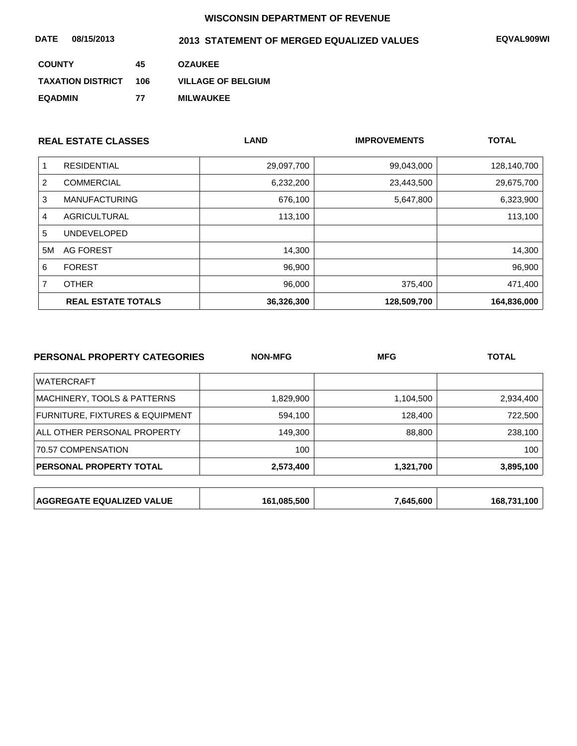| 08/15/2013<br><b>DATE</b> |     | 2013 STATEMENT OF MERGED EQUALIZED VALUES | <b>EQVAL909WI</b> |
|---------------------------|-----|-------------------------------------------|-------------------|
| <b>COUNTY</b>             | 45  | <b>OZAUKEE</b>                            |                   |
| <b>TAXATION DISTRICT</b>  | 106 | <b>VILLAGE OF BELGIUM</b>                 |                   |
| <b>EQADMIN</b>            | 77  | <b>MILWAUKEE</b>                          |                   |

|    | <b>REAL ESTATE CLASSES</b> | <b>LAND</b> | <b>IMPROVEMENTS</b> | <b>TOTAL</b> |
|----|----------------------------|-------------|---------------------|--------------|
|    | <b>RESIDENTIAL</b>         | 29,097,700  | 99,043,000          | 128,140,700  |
| 2  | <b>COMMERCIAL</b>          | 6,232,200   | 23,443,500          | 29,675,700   |
| 3  | <b>MANUFACTURING</b>       | 676,100     | 5,647,800           | 6,323,900    |
| 4  | <b>AGRICULTURAL</b>        | 113,100     |                     | 113,100      |
| 5  | <b>UNDEVELOPED</b>         |             |                     |              |
| 5M | <b>AG FOREST</b>           | 14,300      |                     | 14,300       |
| 6  | <b>FOREST</b>              | 96,900      |                     | 96,900       |
| 7  | <b>OTHER</b>               | 96,000      | 375,400             | 471,400      |
|    | <b>REAL ESTATE TOTALS</b>  | 36,326,300  | 128,509,700         | 164,836,000  |

| <b>PERSONAL PROPERTY CATEGORIES</b> | <b>NON-MFG</b> | <b>MFG</b> | <b>TOTAL</b> |
|-------------------------------------|----------------|------------|--------------|
| <b>WATERCRAFT</b>                   |                |            |              |
| MACHINERY, TOOLS & PATTERNS         | 1,829,900      | 1,104,500  | 2,934,400    |
| FURNITURE, FIXTURES & EQUIPMENT     | 594,100        | 128,400    | 722,500      |
| ALL OTHER PERSONAL PROPERTY         | 149,300        | 88,800     | 238,100      |
| 70.57 COMPENSATION                  | 100            |            | 100          |
| PERSONAL PROPERTY TOTAL             | 2,573,400      | 1,321,700  | 3,895,100    |
|                                     |                |            |              |
| <b>AGGREGATE EQUALIZED VALUE</b>    | 161,085,500    | 7,645,600  | 168,731,100  |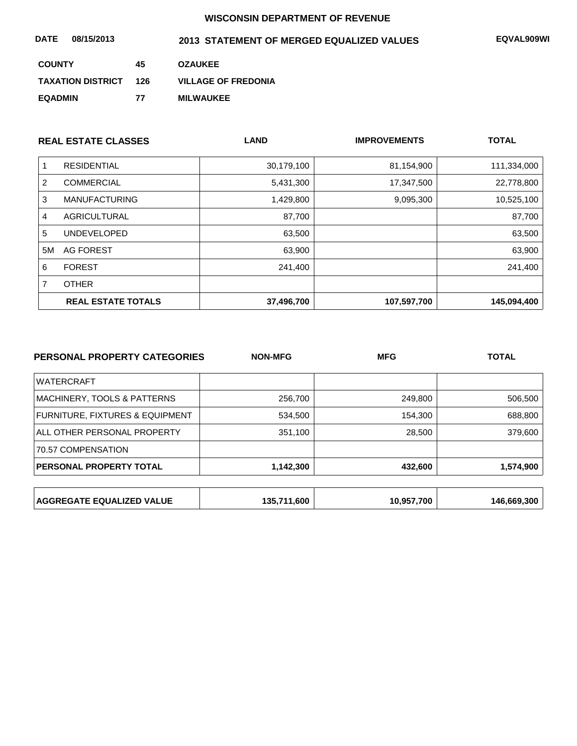| 08/15/2013<br><b>DATE</b> |     | 2013 STATEMENT OF MERGED EQUALIZED VALUES | EQVAL909WI |
|---------------------------|-----|-------------------------------------------|------------|
| <b>COUNTY</b>             | 45  | <b>OZAUKEE</b>                            |            |
| <b>TAXATION DISTRICT</b>  | 126 | <b>VILLAGE OF FREDONIA</b>                |            |
| <b>EQADMIN</b>            | 77  | <b>MILWAUKEE</b>                          |            |

| <b>REAL ESTATE CLASSES</b> |                           | <b>LAND</b> | <b>IMPROVEMENTS</b> | <b>TOTAL</b> |
|----------------------------|---------------------------|-------------|---------------------|--------------|
| 1                          | <b>RESIDENTIAL</b>        | 30,179,100  | 81,154,900          | 111,334,000  |
| 2                          | <b>COMMERCIAL</b>         | 5,431,300   | 17,347,500          | 22,778,800   |
| 3                          | <b>MANUFACTURING</b>      | 1,429,800   | 9,095,300           | 10,525,100   |
| 4                          | <b>AGRICULTURAL</b>       | 87,700      |                     | 87,700       |
| 5                          | <b>UNDEVELOPED</b>        | 63,500      |                     | 63,500       |
| 5M                         | AG FOREST                 | 63,900      |                     | 63,900       |
| 6                          | <b>FOREST</b>             | 241,400     |                     | 241,400      |
| 7                          | <b>OTHER</b>              |             |                     |              |
|                            | <b>REAL ESTATE TOTALS</b> | 37,496,700  | 107,597,700         | 145,094,400  |

| PERSONAL PROPERTY CATEGORIES     | <b>NON-MFG</b> | <b>MFG</b> | <b>TOTAL</b> |
|----------------------------------|----------------|------------|--------------|
| <b>WATERCRAFT</b>                |                |            |              |
| MACHINERY, TOOLS & PATTERNS      | 256,700        | 249,800    | 506,500      |
| FURNITURE, FIXTURES & EQUIPMENT  | 534,500        | 154,300    | 688,800      |
| ALL OTHER PERSONAL PROPERTY      | 351,100        | 28,500     | 379,600      |
| 70.57 COMPENSATION               |                |            |              |
| PERSONAL PROPERTY TOTAL          | 1,142,300      | 432,600    | 1,574,900    |
|                                  |                |            |              |
| <b>AGGREGATE EQUALIZED VALUE</b> | 135,711,600    | 10,957,700 | 146,669,300  |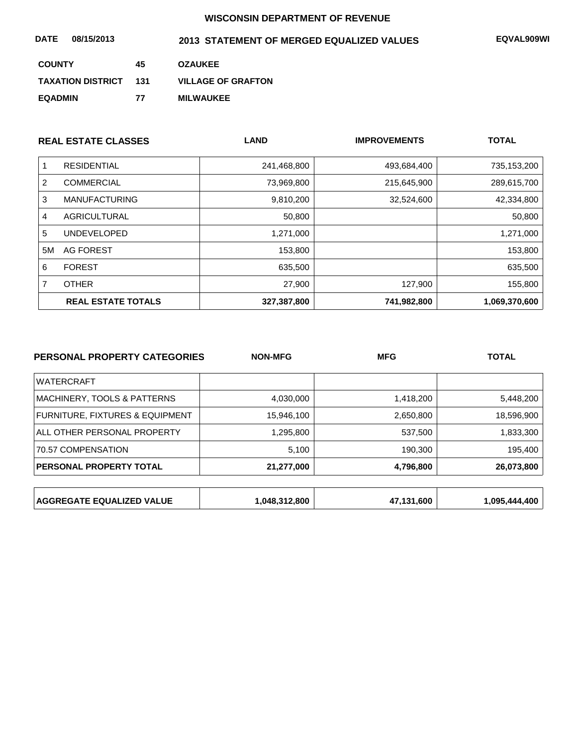| 08/15/2013<br><b>DATE</b> |     | 2013 STATEMENT OF MERGED EQUALIZED VALUES | <b>EQVAL909WI</b> |
|---------------------------|-----|-------------------------------------------|-------------------|
| <b>COUNTY</b>             | 45  | <b>OZAUKEE</b>                            |                   |
| <b>TAXATION DISTRICT</b>  | 131 | <b>VILLAGE OF GRAFTON</b>                 |                   |
| <b>EQADMIN</b>            | 77  | <b>MILWAUKEE</b>                          |                   |

|    | <b>REAL ESTATE CLASSES</b> | <b>LAND</b> | <b>IMPROVEMENTS</b> | <b>TOTAL</b>  |
|----|----------------------------|-------------|---------------------|---------------|
|    | <b>RESIDENTIAL</b>         | 241,468,800 | 493,684,400         | 735,153,200   |
| 2  | <b>COMMERCIAL</b>          | 73,969,800  | 215,645,900         | 289,615,700   |
| 3  | <b>MANUFACTURING</b>       | 9,810,200   | 32,524,600          | 42,334,800    |
| 4  | AGRICULTURAL               | 50,800      |                     | 50,800        |
| 5  | <b>UNDEVELOPED</b>         | 1,271,000   |                     | 1,271,000     |
| 5M | AG FOREST                  | 153,800     |                     | 153,800       |
| 6  | <b>FOREST</b>              | 635,500     |                     | 635,500       |
|    | <b>OTHER</b>               | 27,900      | 127,900             | 155,800       |
|    | <b>REAL ESTATE TOTALS</b>  | 327,387,800 | 741,982,800         | 1,069,370,600 |

| PERSONAL PROPERTY CATEGORIES     | <b>NON-MFG</b> | <b>MFG</b> | <b>TOTAL</b>  |
|----------------------------------|----------------|------------|---------------|
| <b>WATERCRAFT</b>                |                |            |               |
| MACHINERY, TOOLS & PATTERNS      | 4,030,000      | 1,418,200  | 5,448,200     |
| FURNITURE, FIXTURES & EQUIPMENT  | 15,946,100     | 2,650,800  | 18,596,900    |
| ALL OTHER PERSONAL PROPERTY      | 1,295,800      | 537,500    | 1,833,300     |
| 70.57 COMPENSATION               | 5,100          | 190,300    | 195,400       |
| PERSONAL PROPERTY TOTAL          | 21,277,000     | 4,796,800  | 26,073,800    |
|                                  |                |            |               |
| <b>AGGREGATE EQUALIZED VALUE</b> | 1,048,312,800  | 47,131,600 | 1,095,444,400 |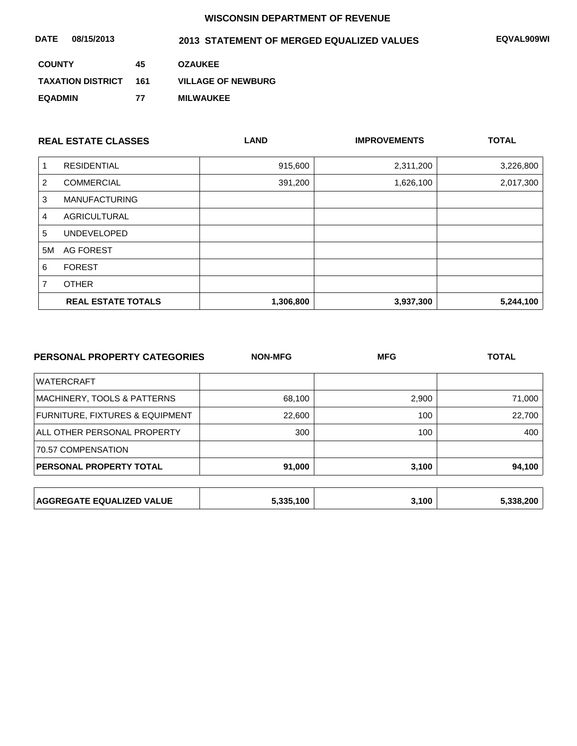| 08/15/2013<br><b>DATE</b> |     | 2013 STATEMENT OF MERGED EQUALIZED VALUES | EQVAL909WI |
|---------------------------|-----|-------------------------------------------|------------|
| <b>COUNTY</b>             | 45  | <b>OZAUKEE</b>                            |            |
| <b>TAXATION DISTRICT</b>  | 161 | <b>VILLAGE OF NEWBURG</b>                 |            |
| <b>EQADMIN</b>            | 77  | <b>MILWAUKEE</b>                          |            |

| <b>REAL ESTATE CLASSES</b> |                           | <b>LAND</b> | <b>IMPROVEMENTS</b> | <b>TOTAL</b> |
|----------------------------|---------------------------|-------------|---------------------|--------------|
|                            | <b>RESIDENTIAL</b>        | 915,600     | 2,311,200           | 3,226,800    |
| 2                          | <b>COMMERCIAL</b>         | 391,200     | 1,626,100           | 2,017,300    |
| 3                          | <b>MANUFACTURING</b>      |             |                     |              |
| 4                          | AGRICULTURAL              |             |                     |              |
| 5                          | <b>UNDEVELOPED</b>        |             |                     |              |
| 5M                         | AG FOREST                 |             |                     |              |
| 6                          | <b>FOREST</b>             |             |                     |              |
| 7                          | <b>OTHER</b>              |             |                     |              |
|                            | <b>REAL ESTATE TOTALS</b> | 1,306,800   | 3,937,300           | 5,244,100    |

| PERSONAL PROPERTY CATEGORIES     | <b>NON-MFG</b> | <b>MFG</b> | <b>TOTAL</b> |
|----------------------------------|----------------|------------|--------------|
| <b>WATERCRAFT</b>                |                |            |              |
| MACHINERY, TOOLS & PATTERNS      | 68,100         | 2,900      | 71,000       |
| FURNITURE, FIXTURES & EQUIPMENT  | 22,600         | 100        | 22,700       |
| ALL OTHER PERSONAL PROPERTY      | 300            | 100        | 400          |
| 70.57 COMPENSATION               |                |            |              |
| PERSONAL PROPERTY TOTAL          | 91,000         | 3,100      | 94,100       |
|                                  |                |            |              |
| <b>AGGREGATE EQUALIZED VALUE</b> | 5,335,100      | 3,100      | 5,338,200    |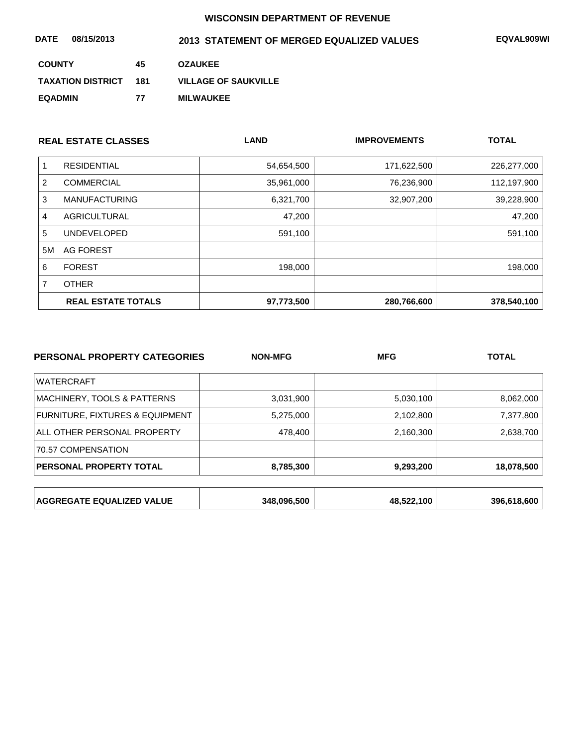| 08/15/2013<br>DATE       |     | 2013 STATEMENT OF MERGED EQUALIZED VALUES | EQVAL909WI |
|--------------------------|-----|-------------------------------------------|------------|
| <b>COUNTY</b>            | 45  | <b>OZAUKEE</b>                            |            |
| <b>TAXATION DISTRICT</b> | 181 | <b>VILLAGE OF SAUKVILLE</b>               |            |
| <b>EQADMIN</b>           | 77  | <b>MILWAUKEE</b>                          |            |

| <b>REAL ESTATE CLASSES</b> |                           | <b>LAND</b> | <b>IMPROVEMENTS</b> | <b>TOTAL</b> |
|----------------------------|---------------------------|-------------|---------------------|--------------|
|                            | <b>RESIDENTIAL</b>        | 54,654,500  | 171,622,500         | 226,277,000  |
| 2                          | <b>COMMERCIAL</b>         | 35,961,000  | 76,236,900          | 112,197,900  |
| 3                          | <b>MANUFACTURING</b>      | 6,321,700   | 32,907,200          | 39,228,900   |
| 4                          | AGRICULTURAL              | 47,200      |                     | 47,200       |
| 5                          | <b>UNDEVELOPED</b>        | 591,100     |                     | 591,100      |
| 5M                         | AG FOREST                 |             |                     |              |
| 6                          | <b>FOREST</b>             | 198,000     |                     | 198,000      |
| 7                          | <b>OTHER</b>              |             |                     |              |
|                            | <b>REAL ESTATE TOTALS</b> | 97,773,500  | 280,766,600         | 378,540,100  |

| PERSONAL PROPERTY CATEGORIES     | <b>NON-MFG</b> | <b>MFG</b> | <b>TOTAL</b> |
|----------------------------------|----------------|------------|--------------|
| <b>WATERCRAFT</b>                |                |            |              |
| MACHINERY, TOOLS & PATTERNS      | 3,031,900      | 5,030,100  | 8,062,000    |
| FURNITURE, FIXTURES & EQUIPMENT  | 5,275,000      | 2,102,800  | 7,377,800    |
| ALL OTHER PERSONAL PROPERTY      | 478,400        | 2,160,300  | 2,638,700    |
| 70.57 COMPENSATION               |                |            |              |
| PERSONAL PROPERTY TOTAL          | 8,785,300      | 9,293,200  | 18,078,500   |
|                                  |                |            |              |
| <b>AGGREGATE EQUALIZED VALUE</b> | 348,096,500    | 48,522,100 | 396,618,600  |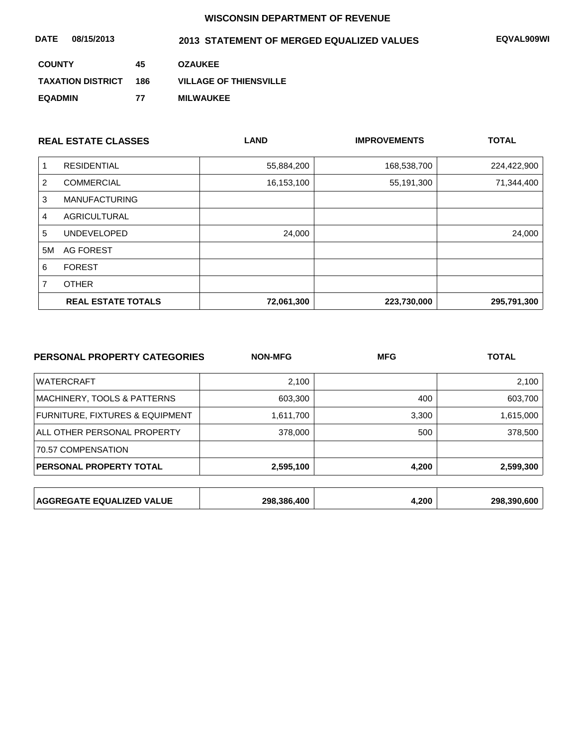| 08/15/2013<br><b>DATE</b> |     | 2013 STATEMENT OF MERGED EQUALIZED VALUES | EQVAL909WI |
|---------------------------|-----|-------------------------------------------|------------|
| <b>COUNTY</b>             | 45  | <b>OZAUKEE</b>                            |            |
| <b>TAXATION DISTRICT</b>  | 186 | <b>VILLAGE OF THIENSVILLE</b>             |            |
| <b>EQADMIN</b>            | 77  | <b>MILWAUKEE</b>                          |            |

|                | <b>REAL ESTATE CLASSES</b> | <b>LAND</b> | <b>IMPROVEMENTS</b> | <b>TOTAL</b> |
|----------------|----------------------------|-------------|---------------------|--------------|
| 1              | <b>RESIDENTIAL</b>         | 55,884,200  | 168,538,700         | 224,422,900  |
| $\overline{2}$ | <b>COMMERCIAL</b>          | 16,153,100  | 55,191,300          | 71,344,400   |
| 3              | <b>MANUFACTURING</b>       |             |                     |              |
| 4              | <b>AGRICULTURAL</b>        |             |                     |              |
| 5              | <b>UNDEVELOPED</b>         | 24,000      |                     | 24,000       |
| 5M             | AG FOREST                  |             |                     |              |
| 6              | <b>FOREST</b>              |             |                     |              |
| 7              | <b>OTHER</b>               |             |                     |              |
|                | <b>REAL ESTATE TOTALS</b>  | 72,061,300  | 223,730,000         | 295,791,300  |

| PERSONAL PROPERTY CATEGORIES     | <b>NON-MFG</b> | <b>MFG</b> | <b>TOTAL</b> |  |
|----------------------------------|----------------|------------|--------------|--|
| <b>WATERCRAFT</b>                | 2,100          |            | 2,100        |  |
| MACHINERY, TOOLS & PATTERNS      | 603,300        | 400        | 603,700      |  |
| FURNITURE, FIXTURES & EQUIPMENT  | 1,611,700      | 3,300      | 1,615,000    |  |
| ALL OTHER PERSONAL PROPERTY      | 378,000        | 500        | 378,500      |  |
| 70.57 COMPENSATION               |                |            |              |  |
| PERSONAL PROPERTY TOTAL          | 2,595,100      | 4,200      | 2,599,300    |  |
|                                  |                |            |              |  |
| <b>AGGREGATE EQUALIZED VALUE</b> | 298,386,400    | 4,200      | 298,390,600  |  |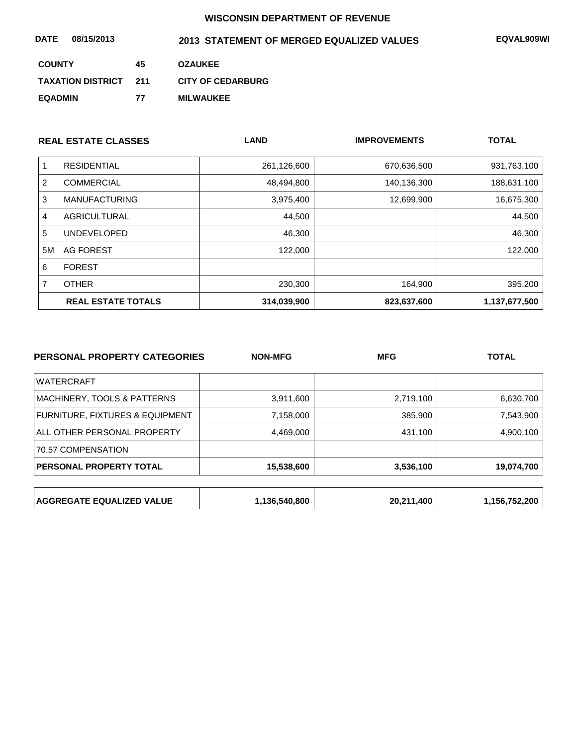| 08/15/2013<br><b>DATE</b> |     | 2013 STATEMENT OF MERGED EQUALIZED VALUES | <b>EQVAL909WI</b> |
|---------------------------|-----|-------------------------------------------|-------------------|
| <b>COUNTY</b>             | 45  | <b>OZAUKEE</b>                            |                   |
| <b>TAXATION DISTRICT</b>  | 211 | <b>CITY OF CEDARBURG</b>                  |                   |
| <b>EQADMIN</b>            | 77  | <b>MILWAUKEE</b>                          |                   |

| <b>REAL ESTATE CLASSES</b> |                           | <b>LAND</b> | <b>IMPROVEMENTS</b> | <b>TOTAL</b>  |
|----------------------------|---------------------------|-------------|---------------------|---------------|
|                            | <b>RESIDENTIAL</b>        | 261,126,600 | 670,636,500         | 931,763,100   |
| 2                          | <b>COMMERCIAL</b>         | 48,494,800  | 140,136,300         | 188,631,100   |
| 3                          | <b>MANUFACTURING</b>      | 3,975,400   | 12,699,900          | 16,675,300    |
| 4                          | AGRICULTURAL              | 44,500      |                     | 44,500        |
| 5                          | <b>UNDEVELOPED</b>        | 46,300      |                     | 46,300        |
| 5M                         | AG FOREST                 | 122,000     |                     | 122,000       |
| 6                          | <b>FOREST</b>             |             |                     |               |
| 7                          | <b>OTHER</b>              | 230,300     | 164,900             | 395,200       |
|                            | <b>REAL ESTATE TOTALS</b> | 314,039,900 | 823,637,600         | 1,137,677,500 |

| PERSONAL PROPERTY CATEGORIES     | <b>NON-MFG</b> | <b>MFG</b> | <b>TOTAL</b>  |
|----------------------------------|----------------|------------|---------------|
| <b>WATERCRAFT</b>                |                |            |               |
| MACHINERY, TOOLS & PATTERNS      | 3,911,600      | 2,719,100  | 6,630,700     |
| FURNITURE, FIXTURES & EQUIPMENT  | 7,158,000      | 385,900    | 7,543,900     |
| ALL OTHER PERSONAL PROPERTY      | 4,469,000      | 431,100    | 4,900,100     |
| 70.57 COMPENSATION               |                |            |               |
| <b>PERSONAL PROPERTY TOTAL</b>   | 15,538,600     | 3,536,100  | 19,074,700    |
|                                  |                |            |               |
| <b>AGGREGATE EQUALIZED VALUE</b> | 1,136,540,800  | 20,211,400 | 1,156,752,200 |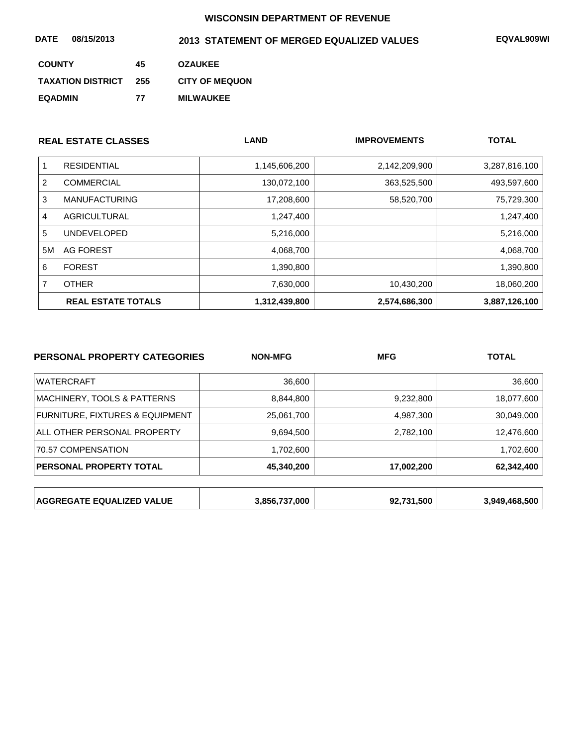| 08/15/2013<br><b>DATE</b> |     | 2013 STATEMENT OF MERGED EQUALIZED VALUES | EQVAL909WI |
|---------------------------|-----|-------------------------------------------|------------|
| <b>COUNTY</b>             | 45  | <b>OZAUKEE</b>                            |            |
| <b>TAXATION DISTRICT</b>  | 255 | <b>CITY OF MEQUON</b>                     |            |
| <b>EQADMIN</b>            | 77  | <b>MILWAUKEE</b>                          |            |

| <b>REAL ESTATE CLASSES</b> |                           | <b>LAND</b>   | <b>IMPROVEMENTS</b> | <b>TOTAL</b>  |
|----------------------------|---------------------------|---------------|---------------------|---------------|
|                            | <b>RESIDENTIAL</b>        | 1,145,606,200 | 2,142,209,900       | 3,287,816,100 |
| 2                          | <b>COMMERCIAL</b>         | 130,072,100   | 363,525,500         | 493,597,600   |
| 3                          | <b>MANUFACTURING</b>      | 17,208,600    | 58,520,700          | 75,729,300    |
| 4                          | <b>AGRICULTURAL</b>       | 1,247,400     |                     | 1,247,400     |
| 5                          | <b>UNDEVELOPED</b>        | 5,216,000     |                     | 5,216,000     |
| 5M                         | AG FOREST                 | 4,068,700     |                     | 4,068,700     |
| 6                          | <b>FOREST</b>             | 1,390,800     |                     | 1,390,800     |
|                            | <b>OTHER</b>              | 7,630,000     | 10,430,200          | 18,060,200    |
|                            | <b>REAL ESTATE TOTALS</b> | 1,312,439,800 | 2,574,686,300       | 3,887,126,100 |

| PERSONAL PROPERTY CATEGORIES     | <b>NON-MFG</b> | <b>MFG</b><br><b>TOTAL</b> |               |
|----------------------------------|----------------|----------------------------|---------------|
| <b>WATERCRAFT</b>                | 36,600         |                            | 36,600        |
| MACHINERY, TOOLS & PATTERNS      | 8,844,800      | 9,232,800                  | 18,077,600    |
| FURNITURE, FIXTURES & EQUIPMENT  | 25,061,700     | 4,987,300                  | 30,049,000    |
| ALL OTHER PERSONAL PROPERTY      | 9,694,500      | 2,782,100                  | 12,476,600    |
| 70.57 COMPENSATION               | 1,702,600      |                            | 1,702,600     |
| PERSONAL PROPERTY TOTAL          | 45,340,200     | 17,002,200                 | 62,342,400    |
|                                  |                |                            |               |
| <b>AGGREGATE EQUALIZED VALUE</b> | 3,856,737,000  | 92,731,500                 | 3,949,468,500 |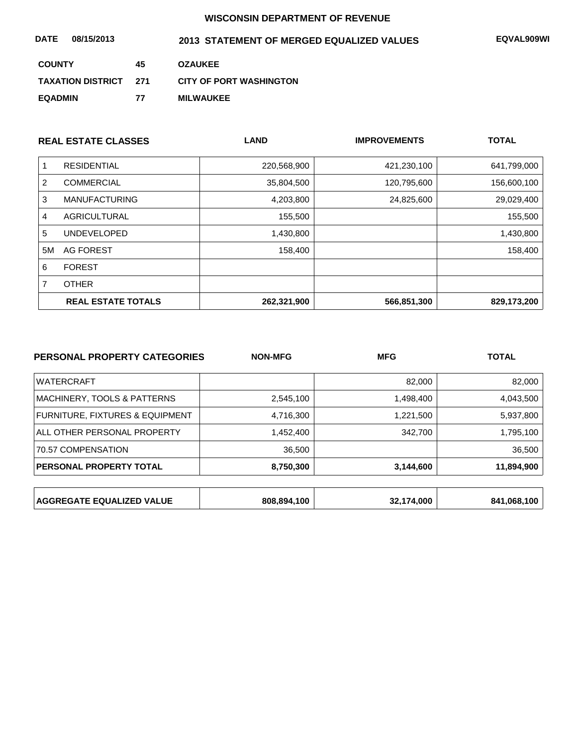| 08/15/2013<br><b>DATE</b> |       | 2013 STATEMENT OF MERGED EQUALIZED VALUES | EQVAL909WI |
|---------------------------|-------|-------------------------------------------|------------|
| <b>COUNTY</b>             | 45    | <b>OZAUKEE</b>                            |            |
| <b>TAXATION DISTRICT</b>  | - 271 | <b>CITY OF PORT WASHINGTON</b>            |            |
| <b>EQADMIN</b>            | 77    | <b>MILWAUKEE</b>                          |            |

|    | <b>REAL ESTATE CLASSES</b> | <b>LAND</b> | <b>IMPROVEMENTS</b> | <b>TOTAL</b> |
|----|----------------------------|-------------|---------------------|--------------|
|    | <b>RESIDENTIAL</b>         | 220,568,900 | 421,230,100         | 641,799,000  |
| 2  | <b>COMMERCIAL</b>          | 35,804,500  | 120,795,600         | 156,600,100  |
| 3  | <b>MANUFACTURING</b>       | 4,203,800   | 24,825,600          | 29,029,400   |
| 4  | <b>AGRICULTURAL</b>        | 155,500     |                     | 155,500      |
| 5  | <b>UNDEVELOPED</b>         | 1,430,800   |                     | 1,430,800    |
| 5M | AG FOREST                  | 158,400     |                     | 158,400      |
| 6  | <b>FOREST</b>              |             |                     |              |
|    | <b>OTHER</b>               |             |                     |              |
|    | <b>REAL ESTATE TOTALS</b>  | 262,321,900 | 566,851,300         | 829,173,200  |

| PERSONAL PROPERTY CATEGORIES     | <b>NON-MFG</b> | <b>TOTAL</b><br><b>MFG</b> |             |
|----------------------------------|----------------|----------------------------|-------------|
| <b>WATERCRAFT</b>                |                | 82,000                     | 82,000      |
| MACHINERY, TOOLS & PATTERNS      | 2,545,100      | 1,498,400                  | 4,043,500   |
| FURNITURE, FIXTURES & EQUIPMENT  | 4,716,300      | 1,221,500                  | 5,937,800   |
| ALL OTHER PERSONAL PROPERTY      | 1,452,400      | 342.700                    | 1,795,100   |
| 70.57 COMPENSATION               | 36,500         |                            | 36,500      |
| PERSONAL PROPERTY TOTAL          | 8,750,300      | 3,144,600                  | 11,894,900  |
|                                  |                |                            |             |
| <b>AGGREGATE EQUALIZED VALUE</b> | 808,894,100    | 32,174,000                 | 841,068,100 |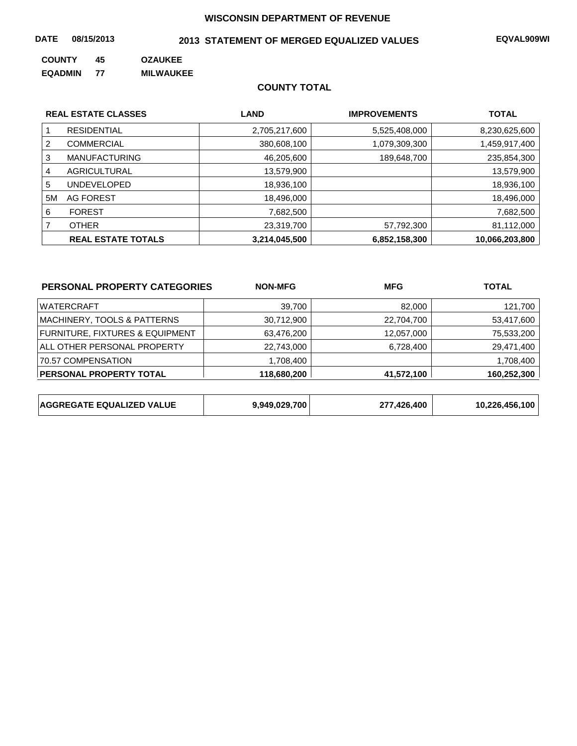#### **DATE 08/15/2013 EQVAL909WI 2013 STATEMENT OF MERGED EQUALIZED VALUES**

**COUNTY 45 OZAUKEE** 

**EQADMIN 77 MILWAUKEE**

#### **COUNTY TOTAL**

|    | <b>REAL ESTATE CLASSES</b> | <b>LAND</b>   | <b>IMPROVEMENTS</b> | <b>TOTAL</b>   |
|----|----------------------------|---------------|---------------------|----------------|
|    | <b>RESIDENTIAL</b>         | 2,705,217,600 | 5,525,408,000       | 8,230,625,600  |
| 2  | <b>COMMERCIAL</b>          | 380,608,100   | 1,079,309,300       | 1,459,917,400  |
| 3  | <b>MANUFACTURING</b>       | 46,205,600    | 189,648,700         | 235,854,300    |
| 4  | AGRICULTURAL               | 13,579,900    |                     | 13,579,900     |
| 5  | <b>UNDEVELOPED</b>         | 18,936,100    |                     | 18,936,100     |
| 5M | AG FOREST                  | 18,496,000    |                     | 18,496,000     |
| 6  | <b>FOREST</b>              | 7,682,500     |                     | 7,682,500      |
|    | <b>OTHER</b>               | 23,319,700    | 57,792,300          | 81,112,000     |
|    | <b>REAL ESTATE TOTALS</b>  | 3,214,045,500 | 6,852,158,300       | 10,066,203,800 |

| PERSONAL PROPERTY CATEGORIES               | <b>NON-MFG</b> | <b>MFG</b> | <b>TOTAL</b> |
|--------------------------------------------|----------------|------------|--------------|
| <b>WATERCRAFT</b>                          | 39.700         | 82,000     | 121,700      |
| MACHINERY, TOOLS & PATTERNS                | 30,712,900     | 22,704,700 | 53,417,600   |
| <b>FURNITURE, FIXTURES &amp; EQUIPMENT</b> | 63,476,200     | 12,057,000 | 75,533,200   |
| ALL OTHER PERSONAL PROPERTY                | 22,743,000     | 6,728,400  | 29,471,400   |
| 70.57 COMPENSATION                         | 1,708,400      |            | 1,708,400    |
| <b>PERSONAL PROPERTY TOTAL</b>             | 118,680,200    | 41,572,100 | 160,252,300  |

| <b>AGGREGATE EQUALIZED VALUE</b> | 9,949,029,700 | ,426,400 | ْ 100.<br>10,226,456, |
|----------------------------------|---------------|----------|-----------------------|
|----------------------------------|---------------|----------|-----------------------|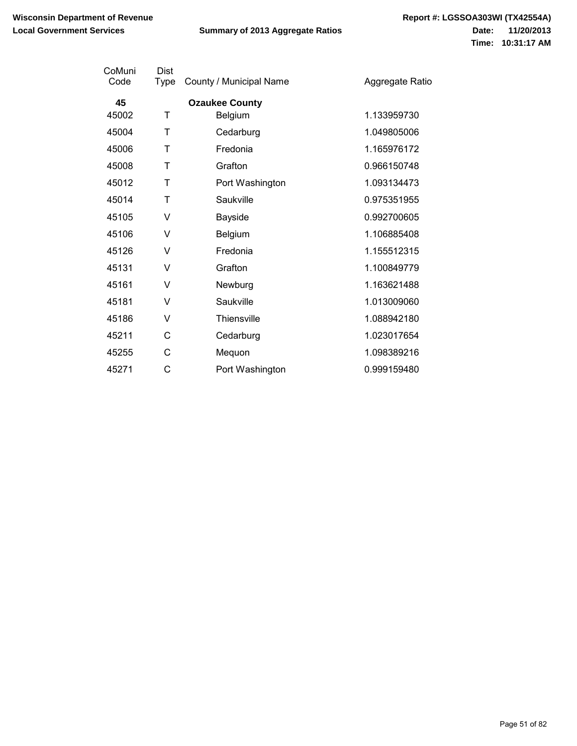| CoMuni<br>Code | Dist<br><b>Type</b> | County / Municipal Name | Aggregate Ratio |
|----------------|---------------------|-------------------------|-----------------|
| 45             |                     | <b>Ozaukee County</b>   |                 |
| 45002          | Τ                   | Belgium                 | 1.133959730     |
| 45004          | Τ                   | Cedarburg               | 1.049805006     |
| 45006          | т                   | Fredonia                | 1.165976172     |
| 45008          | т                   | Grafton                 | 0.966150748     |
| 45012          | т                   | Port Washington         | 1.093134473     |
| 45014          | Τ                   | Saukville               | 0.975351955     |
| 45105          | ٧                   | Bayside                 | 0.992700605     |
| 45106          | v                   | Belgium                 | 1.106885408     |
| 45126          | V                   | Fredonia                | 1.155512315     |
| 45131          | v                   | Grafton                 | 1.100849779     |
| 45161          | v                   | Newburg                 | 1.163621488     |
| 45181          | v                   | Saukville               | 1.013009060     |
| 45186          | v                   | <b>Thiensville</b>      | 1.088942180     |
| 45211          | С                   | Cedarburg               | 1.023017654     |
| 45255          | С                   | Mequon                  | 1.098389216     |
| 45271          | С                   | Port Washington         | 0.999159480     |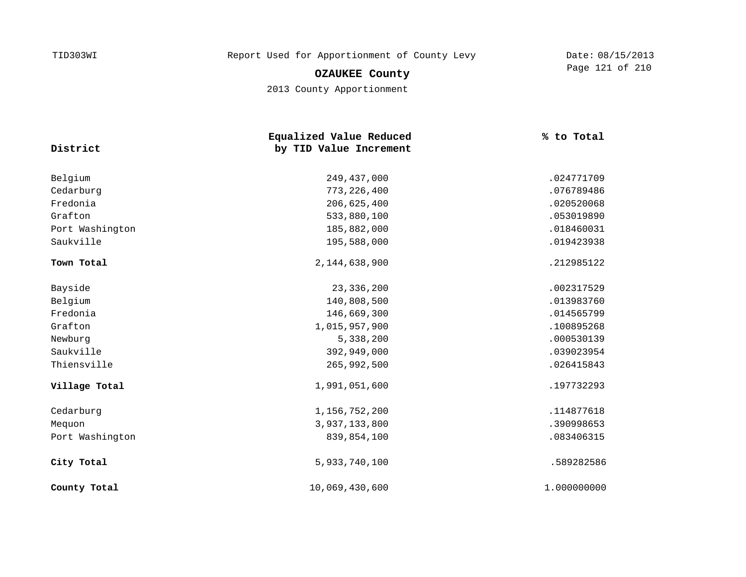**OZAUKEE County**

2013 County Apportionment

| District        | Equalized Value Reduced<br>by TID Value Increment | % to Total  |
|-----------------|---------------------------------------------------|-------------|
| Belgium         | 249,437,000                                       | .024771709  |
| Cedarburg       | 773, 226, 400                                     | .076789486  |
| Fredonia        | 206,625,400                                       | .020520068  |
| Grafton         | 533,880,100                                       | .053019890  |
| Port Washington | 185,882,000                                       | .018460031  |
| Saukville       | 195,588,000                                       | .019423938  |
| Town Total      | 2,144,638,900                                     | .212985122  |
| Bayside         | 23, 336, 200                                      | .002317529  |
| Belgium         | 140,808,500                                       | .013983760  |
| Fredonia        | 146,669,300                                       | .014565799  |
| Grafton         | 1,015,957,900                                     | .100895268  |
| Newburg         | 5,338,200                                         | .000530139  |
| Saukville       | 392,949,000                                       | .039023954  |
| Thiensville     | 265,992,500                                       | .026415843  |
| Village Total   | 1,991,051,600                                     | .197732293  |
| Cedarburg       | 1,156,752,200                                     | .114877618  |
| Mequon          | 3,937,133,800                                     | .390998653  |
| Port Washington | 839,854,100                                       | .083406315  |
| City Total      | 5,933,740,100                                     | .589282586  |
| County Total    | 10,069,430,600                                    | 1.000000000 |